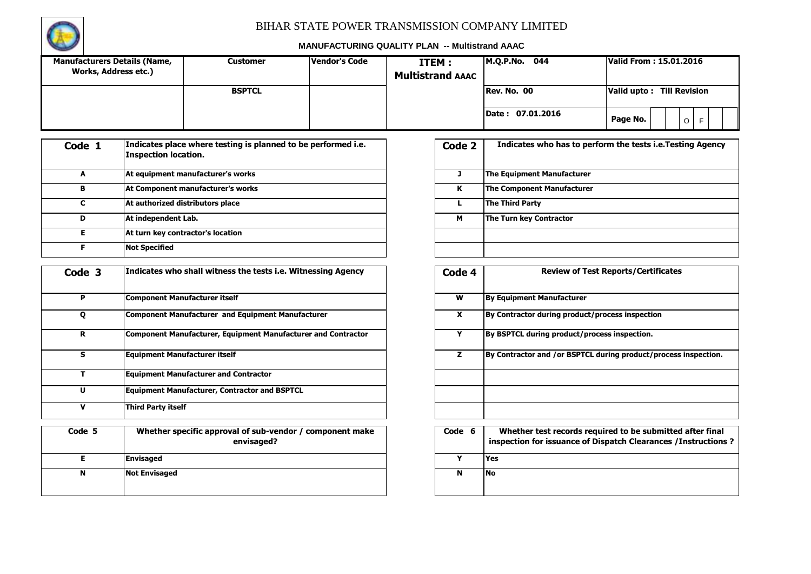

| <b>Manufacturers Details (Name,</b><br>Works, Address etc.) | Customer      | Vendor's Code | <b>ITEM:</b><br><b>Multistrand AAAC</b> | IM.O.P.No.<br>044           | Valid From: 15.01.2016              |
|-------------------------------------------------------------|---------------|---------------|-----------------------------------------|-----------------------------|-------------------------------------|
|                                                             | <b>BSPTCL</b> |               |                                         | Rev. No. 00                 | <b>Till Revision</b><br>Valid upto: |
|                                                             |               |               |                                         | 07.01.2016<br><b>Date :</b> | Page No.<br>$\circ$                 |

| Code 1 | Indicates place where testing is planned to be performed i.e.<br>Inspection location. | Code 2 | Indicates who has to pe           |
|--------|---------------------------------------------------------------------------------------|--------|-----------------------------------|
| A      | At equipment manufacturer's works                                                     |        | The Equipment Manufacturer        |
| в      | At Component manufacturer's works                                                     | к      | <b>The Component Manufacturer</b> |
|        | At authorized distributors place                                                      |        | The Third Party                   |
| D      | At independent Lab.                                                                   | м      | The Turn key Contractor           |
| F      | At turn key contractor's location                                                     |        |                                   |
|        | <b>Not Specified</b>                                                                  |        |                                   |

| Code 3 | Indicates who shall witness the tests i.e. Witnessing Agency           | Code 4 | <b>Review of Test Reports/Certificates</b>                                                                                |
|--------|------------------------------------------------------------------------|--------|---------------------------------------------------------------------------------------------------------------------------|
| P      | Component Manufacturer itself                                          | W      | <b>By Equipment Manufacturer</b>                                                                                          |
| Q      | Component Manufacturer and Equipment Manufacturer                      | X      | By Contractor during product/process inspection                                                                           |
| R      | Component Manufacturer, Equipment Manufacturer and Contractor          | Y      | By BSPTCL during product/process inspection.                                                                              |
| s      | <b>Equipment Manufacturer itself</b>                                   | z      | By Contractor and /or BSPTCL during product/process inspection.                                                           |
|        | <b>Equipment Manufacturer and Contractor</b>                           |        |                                                                                                                           |
| U      | <b>Equipment Manufacturer, Contractor and BSPTCL</b>                   |        |                                                                                                                           |
| v      | <b>Third Party itself</b>                                              |        |                                                                                                                           |
|        |                                                                        |        |                                                                                                                           |
| Code 5 | Whether specific approval of sub-vendor / component make<br>envisaged? | Code 6 | Whether test records required to be submitted after final<br>inspection for issuance of Dispatch Clearances / Instruction |
| Е.     | Envisaged                                                              | Y      | Yes                                                                                                                       |
| N      | <b>Not Envisaged</b>                                                   | N      | <b>No</b>                                                                                                                 |

| Code 2 | Indicates who has to perform the tests i.e. Testing Agency |
|--------|------------------------------------------------------------|
| ٦      | <b>The Equipment Manufacturer</b>                          |
| ĸ      | <b>The Component Manufacturer</b>                          |
|        | <b>The Third Party</b>                                     |
| м      | The Turn key Contractor                                    |
|        |                                                            |
|        |                                                            |

| Code 4 | <b>Review of Test Reports/Certificates</b>                                                                                   |
|--------|------------------------------------------------------------------------------------------------------------------------------|
| W      | <b>By Equipment Manufacturer</b>                                                                                             |
| X      | By Contractor during product/process inspection                                                                              |
| Y      | By BSPTCL during product/process inspection.                                                                                 |
| z      | By Contractor and /or BSPTCL during product/process inspection.                                                              |
|        |                                                                                                                              |
|        |                                                                                                                              |
|        |                                                                                                                              |
| Code 6 | Whether test records required to be submitted after final<br>inspection for issuance of Dispatch Clearances / Instructions ? |
| Y      | Yes                                                                                                                          |
| N      | No                                                                                                                           |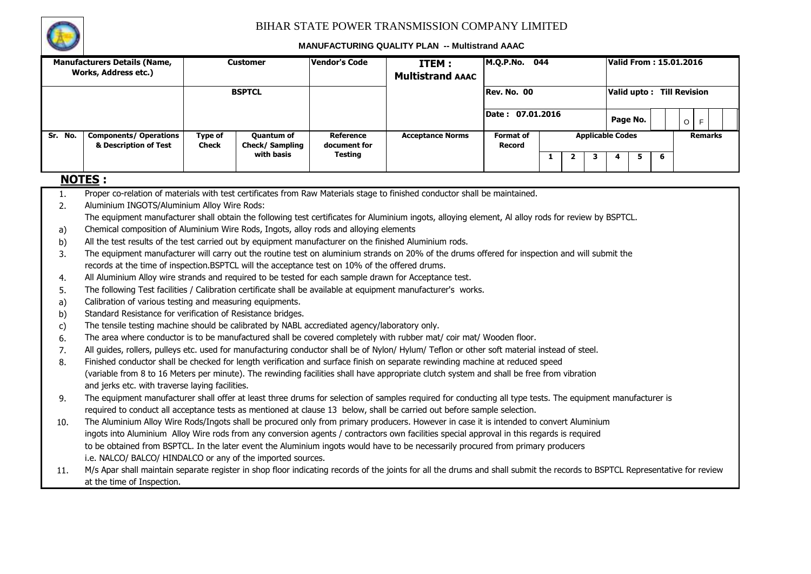

|         | <b>Manufacturers Details (Name,</b><br>Works, Address etc.)                                                                                                                 |                         | <b>Customer</b>                     | <b>Vendor's Code</b>             | ITEM:<br><b>Multistrand AAAC</b> | M.Q.P.No. 044                                |   |                |   |                         | <b>Valid From: 15.01.2016</b> |  |  |                |
|---------|-----------------------------------------------------------------------------------------------------------------------------------------------------------------------------|-------------------------|-------------------------------------|----------------------------------|----------------------------------|----------------------------------------------|---|----------------|---|-------------------------|-------------------------------|--|--|----------------|
|         |                                                                                                                                                                             |                         | <b>BSPTCL</b>                       |                                  |                                  | Rev. No. 00                                  |   |                |   |                         | Valid upto: Till Revision     |  |  |                |
|         |                                                                                                                                                                             |                         |                                     |                                  |                                  | Date: 07.01.2016<br>Page No.<br>$\circ$<br>F |   |                |   |                         |                               |  |  |                |
| Sr. No. | <b>Components/ Operations</b><br>& Description of Test                                                                                                                      | Type of<br><b>Check</b> | <b>Quantum of</b><br>Check/Sampling | <b>Reference</b><br>document for | <b>Acceptance Norms</b>          | <b>Format of</b><br>Record                   |   |                |   | <b>Applicable Codes</b> |                               |  |  | <b>Remarks</b> |
|         |                                                                                                                                                                             |                         | with basis                          | <b>Testing</b>                   |                                  |                                              | 1 | $\overline{2}$ | 3 | 4                       | 5<br>6                        |  |  |                |
|         | <b>NOTES:</b>                                                                                                                                                               |                         |                                     |                                  |                                  |                                              |   |                |   |                         |                               |  |  |                |
| 1.      | Proper co-relation of materials with test certificates from Raw Materials stage to finished conductor shall be maintained.                                                  |                         |                                     |                                  |                                  |                                              |   |                |   |                         |                               |  |  |                |
| 2.      | Aluminium INGOTS/Aluminium Alloy Wire Rods:                                                                                                                                 |                         |                                     |                                  |                                  |                                              |   |                |   |                         |                               |  |  |                |
|         | The equipment manufacturer shall obtain the following test certificates for Aluminium ingots, alloying element, AI alloy rods for review by BSPTCL.                         |                         |                                     |                                  |                                  |                                              |   |                |   |                         |                               |  |  |                |
| a)      | Chemical composition of Aluminium Wire Rods, Ingots, alloy rods and alloying elements                                                                                       |                         |                                     |                                  |                                  |                                              |   |                |   |                         |                               |  |  |                |
| b)      | All the test results of the test carried out by equipment manufacturer on the finished Aluminium rods.                                                                      |                         |                                     |                                  |                                  |                                              |   |                |   |                         |                               |  |  |                |
| 3.      | The equipment manufacturer will carry out the routine test on aluminium strands on 20% of the drums offered for inspection and will submit the                              |                         |                                     |                                  |                                  |                                              |   |                |   |                         |                               |  |  |                |
|         | records at the time of inspection.BSPTCL will the acceptance test on 10% of the offered drums.                                                                              |                         |                                     |                                  |                                  |                                              |   |                |   |                         |                               |  |  |                |
| 4.      | All Aluminium Alloy wire strands and required to be tested for each sample drawn for Acceptance test.                                                                       |                         |                                     |                                  |                                  |                                              |   |                |   |                         |                               |  |  |                |
| 5.      | The following Test facilities / Calibration certificate shall be available at equipment manufacturer's works.                                                               |                         |                                     |                                  |                                  |                                              |   |                |   |                         |                               |  |  |                |
| a)      | Calibration of various testing and measuring equipments.                                                                                                                    |                         |                                     |                                  |                                  |                                              |   |                |   |                         |                               |  |  |                |
| b)      | Standard Resistance for verification of Resistance bridges.                                                                                                                 |                         |                                     |                                  |                                  |                                              |   |                |   |                         |                               |  |  |                |
| c)      | The tensile testing machine should be calibrated by NABL accrediated agency/laboratory only.                                                                                |                         |                                     |                                  |                                  |                                              |   |                |   |                         |                               |  |  |                |
| 6.      | The area where conductor is to be manufactured shall be covered completely with rubber mat/ coir mat/ Wooden floor.                                                         |                         |                                     |                                  |                                  |                                              |   |                |   |                         |                               |  |  |                |
| 7.      | All guides, rollers, pulleys etc. used for manufacturing conductor shall be of Nylon/ Hylum/ Teflon or other soft material instead of steel.                                |                         |                                     |                                  |                                  |                                              |   |                |   |                         |                               |  |  |                |
| 8.      | Finished conductor shall be checked for length verification and surface finish on separate rewinding machine at reduced speed                                               |                         |                                     |                                  |                                  |                                              |   |                |   |                         |                               |  |  |                |
|         | (variable from 8 to 16 Meters per minute). The rewinding facilities shall have appropriate clutch system and shall be free from vibration                                   |                         |                                     |                                  |                                  |                                              |   |                |   |                         |                               |  |  |                |
|         | and jerks etc. with traverse laying facilities.                                                                                                                             |                         |                                     |                                  |                                  |                                              |   |                |   |                         |                               |  |  |                |
| 9.      | The equipment manufacturer shall offer at least three drums for selection of samples required for conducting all type tests. The equipment manufacturer is                  |                         |                                     |                                  |                                  |                                              |   |                |   |                         |                               |  |  |                |
|         | required to conduct all acceptance tests as mentioned at clause 13 below, shall be carried out before sample selection.                                                     |                         |                                     |                                  |                                  |                                              |   |                |   |                         |                               |  |  |                |
| 10.     | The Aluminium Alloy Wire Rods/Ingots shall be procured only from primary producers. However in case it is intended to convert Aluminium                                     |                         |                                     |                                  |                                  |                                              |   |                |   |                         |                               |  |  |                |
|         | ingots into Aluminium Alloy Wire rods from any conversion agents / contractors own facilities special approval in this regards is required                                  |                         |                                     |                                  |                                  |                                              |   |                |   |                         |                               |  |  |                |
|         | to be obtained from BSPTCL. In the later event the Aluminium ingots would have to be necessarily procured from primary producers                                            |                         |                                     |                                  |                                  |                                              |   |                |   |                         |                               |  |  |                |
|         | i.e. NALCO/ BALCO/ HINDALCO or any of the imported sources.                                                                                                                 |                         |                                     |                                  |                                  |                                              |   |                |   |                         |                               |  |  |                |
| 11.     | M/s Apar shall maintain separate register in shop floor indicating records of the joints for all the drums and shall submit the records to BSPTCL Representative for review |                         |                                     |                                  |                                  |                                              |   |                |   |                         |                               |  |  |                |
|         | at the time of Inspection.                                                                                                                                                  |                         |                                     |                                  |                                  |                                              |   |                |   |                         |                               |  |  |                |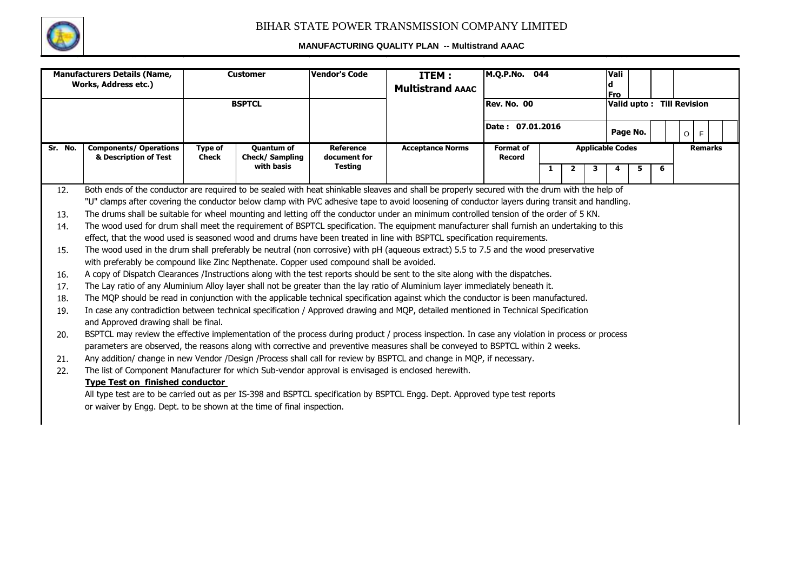

|         | <b>Manufacturers Details (Name,</b><br>Works, Address etc.)                                                                                                                                                                                                                      | <b>Vendor's Code</b><br><b>Customer</b><br>ITEM:<br><b>Multistrand AAAC</b> |                                            |                           |                         |                                   | M.Q.P.No. 044 |              |   |                         |                           |   |         |                |  |
|---------|----------------------------------------------------------------------------------------------------------------------------------------------------------------------------------------------------------------------------------------------------------------------------------|-----------------------------------------------------------------------------|--------------------------------------------|---------------------------|-------------------------|-----------------------------------|---------------|--------------|---|-------------------------|---------------------------|---|---------|----------------|--|
|         |                                                                                                                                                                                                                                                                                  |                                                                             | <b>BSPTCL</b>                              |                           |                         | <b>Rev. No. 00</b>                |               |              |   | <b>Fro</b>              | Valid upto: Till Revision |   |         |                |  |
|         |                                                                                                                                                                                                                                                                                  |                                                                             |                                            |                           |                         | Date: 07.01.2016                  |               |              |   |                         | Page No.                  |   | $\circ$ | F.             |  |
| Sr. No. | <b>Components/ Operations</b><br>& Description of Test                                                                                                                                                                                                                           | <b>Type of</b><br><b>Check</b>                                              | <b>Quantum of</b><br><b>Check/Sampling</b> | Reference<br>document for | <b>Acceptance Norms</b> | <b>Format of</b><br><b>Record</b> |               |              |   | <b>Applicable Codes</b> |                           |   |         | <b>Remarks</b> |  |
|         |                                                                                                                                                                                                                                                                                  |                                                                             | with basis                                 | <b>Testing</b>            |                         |                                   | 1             | $\mathbf{2}$ | 3 |                         | 5                         | 6 |         |                |  |
| 12.     | Both ends of the conductor are required to be sealed with heat shinkable sleaves and shall be properly secured with the drum with the help of                                                                                                                                    |                                                                             |                                            |                           |                         |                                   |               |              |   |                         |                           |   |         |                |  |
|         | "U" clamps after covering the conductor below clamp with PVC adhesive tape to avoid loosening of conductor layers during transit and handling.                                                                                                                                   |                                                                             |                                            |                           |                         |                                   |               |              |   |                         |                           |   |         |                |  |
| 13.     | The drums shall be suitable for wheel mounting and letting off the conductor under an minimum controlled tension of the order of 5 KN.                                                                                                                                           |                                                                             |                                            |                           |                         |                                   |               |              |   |                         |                           |   |         |                |  |
| 14.     | The wood used for drum shall meet the requirement of BSPTCL specification. The equipment manufacturer shall furnish an undertaking to this                                                                                                                                       |                                                                             |                                            |                           |                         |                                   |               |              |   |                         |                           |   |         |                |  |
|         | effect, that the wood used is seasoned wood and drums have been treated in line with BSPTCL specification requirements.                                                                                                                                                          |                                                                             |                                            |                           |                         |                                   |               |              |   |                         |                           |   |         |                |  |
| 15.     | The wood used in the drum shall preferably be neutral (non corrosive) with pH (aqueous extract) 5.5 to 7.5 and the wood preservative                                                                                                                                             |                                                                             |                                            |                           |                         |                                   |               |              |   |                         |                           |   |         |                |  |
|         | with preferably be compound like Zinc Nepthenate. Copper used compound shall be avoided.                                                                                                                                                                                         |                                                                             |                                            |                           |                         |                                   |               |              |   |                         |                           |   |         |                |  |
| 16.     | A copy of Dispatch Clearances /Instructions along with the test reports should be sent to the site along with the dispatches.                                                                                                                                                    |                                                                             |                                            |                           |                         |                                   |               |              |   |                         |                           |   |         |                |  |
| 17.     | The Lay ratio of any Aluminium Alloy layer shall not be greater than the lay ratio of Aluminium layer immediately beneath it.                                                                                                                                                    |                                                                             |                                            |                           |                         |                                   |               |              |   |                         |                           |   |         |                |  |
| 18.     | The MQP should be read in conjunction with the applicable technical specification against which the conductor is been manufactured.                                                                                                                                              |                                                                             |                                            |                           |                         |                                   |               |              |   |                         |                           |   |         |                |  |
| 19.     | In case any contradiction between technical specification / Approved drawing and MQP, detailed mentioned in Technical Specification<br>and Approved drawing shall be final.                                                                                                      |                                                                             |                                            |                           |                         |                                   |               |              |   |                         |                           |   |         |                |  |
| 20.     | BSPTCL may review the effective implementation of the process during product / process inspection. In case any violation in process or process<br>parameters are observed, the reasons along with corrective and preventive measures shall be conveyed to BSPTCL within 2 weeks. |                                                                             |                                            |                           |                         |                                   |               |              |   |                         |                           |   |         |                |  |
| 21.     | Any addition/ change in new Vendor /Design /Process shall call for review by BSPTCL and change in MQP, if necessary.                                                                                                                                                             |                                                                             |                                            |                           |                         |                                   |               |              |   |                         |                           |   |         |                |  |
| 22.     | The list of Component Manufacturer for which Sub-vendor approval is envisaged is enclosed herewith.                                                                                                                                                                              |                                                                             |                                            |                           |                         |                                   |               |              |   |                         |                           |   |         |                |  |
|         | <b>Type Test on finished conductor</b>                                                                                                                                                                                                                                           |                                                                             |                                            |                           |                         |                                   |               |              |   |                         |                           |   |         |                |  |
|         | All type test are to be carried out as per IS-398 and BSPTCL specification by BSPTCL Engg. Dept. Approved type test reports                                                                                                                                                      |                                                                             |                                            |                           |                         |                                   |               |              |   |                         |                           |   |         |                |  |
|         | or waiver by Engg. Dept. to be shown at the time of final inspection.                                                                                                                                                                                                            |                                                                             |                                            |                           |                         |                                   |               |              |   |                         |                           |   |         |                |  |
|         |                                                                                                                                                                                                                                                                                  |                                                                             |                                            |                           |                         |                                   |               |              |   |                         |                           |   |         |                |  |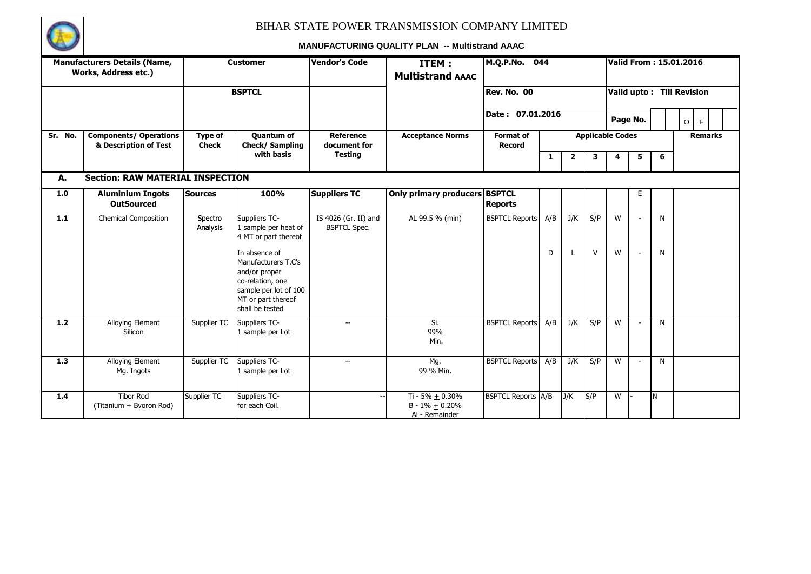

|         | <b>Manufacturers Details (Name,</b><br>Works, Address etc.) |                         | <b>Customer</b>                                                                                                                             | <b>Vendor's Code</b>                        | ITEM:<br><b>Multistrand AAAC</b>                            | M.Q.P.No.                  | 044 |                         |        | Valid From : 15.01.2016 |          |   |                           |  |
|---------|-------------------------------------------------------------|-------------------------|---------------------------------------------------------------------------------------------------------------------------------------------|---------------------------------------------|-------------------------------------------------------------|----------------------------|-----|-------------------------|--------|-------------------------|----------|---|---------------------------|--|
|         |                                                             |                         | <b>BSPTCL</b>                                                                                                                               |                                             |                                                             | Rev. No. 00                |     |                         |        |                         |          |   | Valid upto: Till Revision |  |
|         |                                                             |                         |                                                                                                                                             |                                             |                                                             | Date: 07.01.2016           |     |                         |        |                         | Page No. |   | F<br>$\circ$              |  |
| Sr. No. | <b>Components/ Operations</b><br>& Description of Test      | Type of<br><b>Check</b> | <b>Quantum of</b><br>Check/Sampling                                                                                                         | <b>Reference</b><br>document for            | <b>Acceptance Norms</b>                                     | Format of<br><b>Record</b> |     | <b>Applicable Codes</b> |        |                         |          |   | <b>Remarks</b>            |  |
|         |                                                             |                         | with basis                                                                                                                                  | <b>Testing</b>                              |                                                             |                            | 1   | $\mathbf{2}$            | 3      | 4                       | 5        | 6 |                           |  |
| А.      | <b>Section: RAW MATERIAL INSPECTION</b>                     |                         |                                                                                                                                             |                                             |                                                             |                            |     |                         |        |                         |          |   |                           |  |
| 1.0     | <b>Aluminium Ingots</b><br><b>OutSourced</b>                | <b>Sources</b>          | 100%                                                                                                                                        | <b>Suppliers TC</b>                         | Only primary producers BSPTCL                               | <b>Reports</b>             |     |                         |        |                         | E        |   |                           |  |
| $1.1$   | <b>Chemical Composition</b>                                 | Spectro<br>Analysis     | Suppliers TC-<br>1 sample per heat of<br>4 MT or part thereof                                                                               | IS 4026 (Gr. II) and<br><b>BSPTCL Spec.</b> | AL 99.5 % (min)                                             | <b>BSPTCL Reports</b>      | A/B | J/K                     | S/P    | W                       |          | N |                           |  |
|         |                                                             |                         | In absence of<br>Manufacturers T.C's<br>and/or proper<br>co-relation, one<br>sample per lot of 100<br>MT or part thereof<br>shall be tested |                                             |                                                             |                            | D   |                         | $\vee$ | W                       |          | N |                           |  |
| 1.2     | Alloying Element<br>Silicon                                 | Supplier TC             | Suppliers TC-<br>1 sample per Lot                                                                                                           | $\overline{\phantom{a}}$                    | Si.<br>99%<br>Min.                                          | <b>BSPTCL Reports</b>      | A/B | J/K                     | S/P    | W                       |          | N |                           |  |
| 1.3     | <b>Alloying Element</b><br>Mg. Ingots                       | Supplier TC             | Suppliers TC-<br>1 sample per Lot                                                                                                           | $\sim$                                      | Mg.<br>99 % Min.                                            | <b>BSPTCL Reports</b>      | A/B | J/K                     | S/P    | W                       |          | N |                           |  |
| 1.4     | <b>Tibor Rod</b><br>(Titanium + Bvoron Rod)                 | Supplier TC             | Suppliers TC-<br>for each Coil.                                                                                                             |                                             | Ti - 5% $\pm$ 0.30%<br>$B - 1\% + 0.20\%$<br>Al - Remainder | <b>BSPTCL Reports A/B</b>  |     | J/K                     | S/P    | W                       |          | N |                           |  |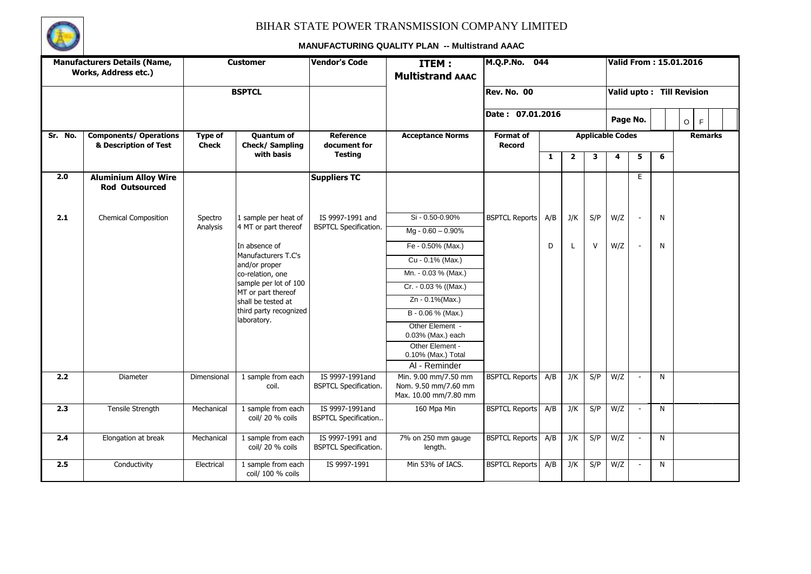

|         | <b>Manufacturers Details (Name,</b><br>Works, Address etc.) |                         | <b>Customer</b>                             | <b>Vendor's Code</b>                             | ITEM:<br><b>Multistrand AAAC</b>                                      | M.Q.P.No.<br>044                  |     |                         |        |                         | Valid From : 15.01.2016   |   |         |   |                |  |
|---------|-------------------------------------------------------------|-------------------------|---------------------------------------------|--------------------------------------------------|-----------------------------------------------------------------------|-----------------------------------|-----|-------------------------|--------|-------------------------|---------------------------|---|---------|---|----------------|--|
|         |                                                             |                         | <b>BSPTCL</b>                               |                                                  |                                                                       | <b>Rev. No. 00</b>                |     |                         |        |                         | Valid upto: Till Revision |   |         |   |                |  |
|         |                                                             |                         |                                             |                                                  |                                                                       | Date: 07.01.2016                  |     |                         |        |                         | Page No.                  |   | $\circ$ | F |                |  |
| Sr. No. | <b>Components/ Operations</b><br>& Description of Test      | Type of<br><b>Check</b> | <b>Quantum of</b><br>Check/Sampling         | <b>Reference</b><br>document for                 | <b>Acceptance Norms</b>                                               | <b>Format of</b><br><b>Record</b> |     |                         |        | <b>Applicable Codes</b> |                           |   |         |   | <b>Remarks</b> |  |
|         |                                                             |                         | with basis                                  | <b>Testing</b>                                   |                                                                       |                                   | 1   | $\overline{\mathbf{2}}$ | 3      | 4                       | 5                         | 6 |         |   |                |  |
| 2.0     | <b>Aluminium Alloy Wire</b><br><b>Rod Outsourced</b>        |                         |                                             | <b>Suppliers TC</b>                              |                                                                       |                                   |     |                         |        |                         | E.                        |   |         |   |                |  |
| 2.1     | <b>Chemical Composition</b>                                 | Spectro                 | 1 sample per heat of                        | IS 9997-1991 and                                 | Si - 0.50-0.90%                                                       | <b>BSPTCL Reports</b>             | A/B | J/K                     | S/P    | W/Z                     |                           | N |         |   |                |  |
|         |                                                             | Analysis                | 4 MT or part thereof                        | <b>BSPTCL Specification.</b>                     | $Mg - 0.60 - 0.90%$                                                   |                                   |     |                         |        |                         |                           |   |         |   |                |  |
|         |                                                             |                         | In absence of                               |                                                  | Fe - 0.50% (Max.)                                                     |                                   | D   | L                       | $\vee$ | W/Z                     |                           | N |         |   |                |  |
|         |                                                             |                         | Manufacturers T.C's<br>and/or proper        |                                                  | Cu - 0.1% (Max.)                                                      |                                   |     |                         |        |                         |                           |   |         |   |                |  |
|         |                                                             |                         | co-relation, one                            |                                                  | Mn. - 0.03 % (Max.)                                                   |                                   |     |                         |        |                         |                           |   |         |   |                |  |
|         |                                                             |                         | sample per lot of 100<br>MT or part thereof |                                                  | Cr. - 0.03 % ((Max.)                                                  |                                   |     |                         |        |                         |                           |   |         |   |                |  |
|         |                                                             |                         | shall be tested at                          |                                                  | Zn - 0.1%(Max.)                                                       |                                   |     |                         |        |                         |                           |   |         |   |                |  |
|         |                                                             |                         | third party recognized<br>laboratory.       |                                                  | B - 0.06 % (Max.)                                                     |                                   |     |                         |        |                         |                           |   |         |   |                |  |
|         |                                                             |                         |                                             |                                                  | Other Element -<br>0.03% (Max.) each                                  |                                   |     |                         |        |                         |                           |   |         |   |                |  |
|         |                                                             |                         |                                             |                                                  | Other Element -                                                       |                                   |     |                         |        |                         |                           |   |         |   |                |  |
|         |                                                             |                         |                                             |                                                  | 0.10% (Max.) Total                                                    |                                   |     |                         |        |                         |                           |   |         |   |                |  |
| 2.2     |                                                             |                         |                                             | IS 9997-1991and                                  | Al - Reminder                                                         |                                   |     |                         |        |                         |                           |   |         |   |                |  |
|         | Diameter                                                    | Dimensional             | 1 sample from each<br>coil.                 | <b>BSPTCL Specification.</b>                     | Min. 9.00 mm/7.50 mm<br>Nom. 9.50 mm/7.60 mm<br>Max. 10.00 mm/7.80 mm | <b>BSPTCL Reports</b>             | A/B | J/K                     | S/P    | W/Z                     |                           | N |         |   |                |  |
| 2.3     | <b>Tensile Strength</b>                                     | Mechanical              | 1 sample from each<br>coil/ 20 % coils      | IS 9997-1991and<br><b>BSPTCL Specification</b>   | 160 Mpa Min                                                           | <b>BSPTCL Reports</b>             | A/B | J/K                     | S/P    | W/Z                     |                           | N |         |   |                |  |
| 2.4     | Elongation at break                                         | Mechanical              | 1 sample from each<br>coil/ 20 % coils      | IS 9997-1991 and<br><b>BSPTCL Specification.</b> | 7% on 250 mm gauge<br>length.                                         | <b>BSPTCL Reports</b>             | A/B | J/K                     | S/P    | W/Z                     | $\sim$                    | N |         |   |                |  |
| 2.5     | Conductivity                                                | Electrical              | 1 sample from each<br>coil/ 100 % coils     | IS 9997-1991                                     | Min 53% of IACS.                                                      | <b>BSPTCL Reports</b>             | A/B | J/K                     | S/P    | W/Z                     |                           | N |         |   |                |  |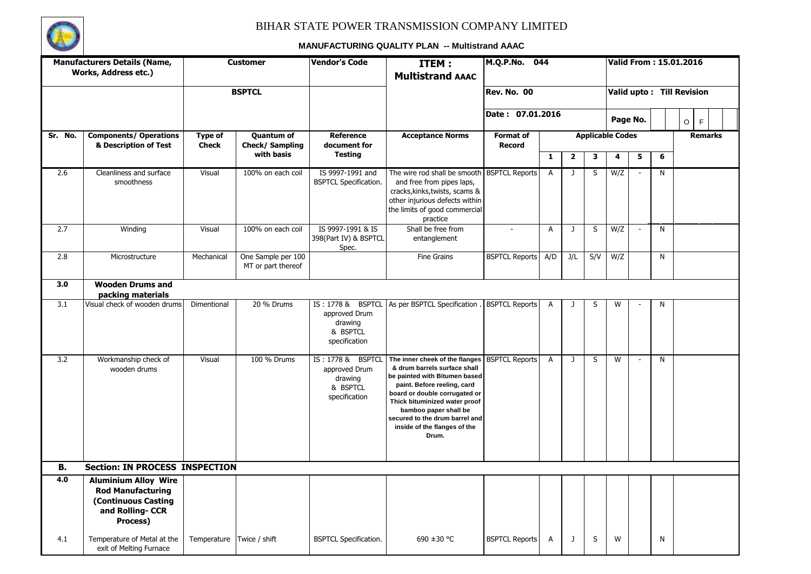

|           | <b>Manufacturers Details (Name,</b>                                                                                  |                         | <b>Customer</b>                          | <b>Vendor's Code</b>                                                       | ITEM:                                                                                                                                                                                                                                                                                                | M.Q.P.No. 044                     |                |                         |     |                         |                          |                | Valid From: 15.01.2016    |  |
|-----------|----------------------------------------------------------------------------------------------------------------------|-------------------------|------------------------------------------|----------------------------------------------------------------------------|------------------------------------------------------------------------------------------------------------------------------------------------------------------------------------------------------------------------------------------------------------------------------------------------------|-----------------------------------|----------------|-------------------------|-----|-------------------------|--------------------------|----------------|---------------------------|--|
|           | Works, Address etc.)                                                                                                 |                         |                                          |                                                                            | <b>Multistrand AAAC</b>                                                                                                                                                                                                                                                                              |                                   |                |                         |     |                         |                          |                |                           |  |
|           |                                                                                                                      |                         | <b>BSPTCL</b>                            |                                                                            |                                                                                                                                                                                                                                                                                                      | <b>Rev. No. 00</b>                |                |                         |     |                         |                          |                | Valid upto: Till Revision |  |
|           |                                                                                                                      |                         |                                          |                                                                            |                                                                                                                                                                                                                                                                                                      | Date: 07.01.2016                  |                |                         |     |                         | Page No.                 |                | $\mathsf F$<br>$\circ$    |  |
| Sr. No.   | <b>Components/ Operations</b><br>& Description of Test                                                               | Type of<br><b>Check</b> | Quantum of<br>Check/Sampling             | Reference<br>document for                                                  | <b>Acceptance Norms</b>                                                                                                                                                                                                                                                                              | <b>Format of</b><br><b>Record</b> |                |                         |     | <b>Applicable Codes</b> |                          |                | <b>Remarks</b>            |  |
|           |                                                                                                                      |                         | with basis                               | <b>Testing</b>                                                             |                                                                                                                                                                                                                                                                                                      |                                   | 1              | $\overline{\mathbf{2}}$ | 3   | 4                       | 5                        | 6              |                           |  |
| 2.6       | Cleanliness and surface<br>smoothness                                                                                | Visual                  | 100% on each coil                        | IS 9997-1991 and<br><b>BSPTCL Specification.</b>                           | The wire rod shall be smooth<br>and free from pipes laps,<br>cracks, kinks, twists, scams &<br>other injurious defects within<br>the limits of good commercial<br>practice                                                                                                                           | <b>BSPTCL Reports</b>             | $\overline{A}$ | $\mathbf{J}$            | S   | W/Z                     | $\overline{\phantom{a}}$ | $\overline{N}$ |                           |  |
| 2.7       | Winding                                                                                                              | Visual                  | 100% on each coil                        | IS 9997-1991 & IS<br>398(Part IV) & BSPTCL<br>Spec.                        | Shall be free from<br>entanglement                                                                                                                                                                                                                                                                   | $\sim$                            | A              | J                       | S   | W/Z                     | $\overline{\phantom{a}}$ | $\mathsf{N}$   |                           |  |
| 2.8       | Microstructure                                                                                                       | Mechanical              | One Sample per 100<br>MT or part thereof |                                                                            | <b>Fine Grains</b>                                                                                                                                                                                                                                                                                   | <b>BSPTCL Reports</b>             | A/D            | J/L                     | S/V | W/Z                     |                          | $\mathsf{N}$   |                           |  |
| 3.0       | <b>Wooden Drums and</b><br>packing materials                                                                         |                         |                                          |                                                                            |                                                                                                                                                                                                                                                                                                      |                                   |                |                         |     |                         |                          |                |                           |  |
| 3.1       | Visual check of wooden drums                                                                                         | Dimentional             | 20 % Drums                               | approved Drum<br>drawing<br>& BSPTCL<br>specification                      | IS: 1778 & BSPTCL   As per BSPTCL Specification.                                                                                                                                                                                                                                                     | <b>BSPTCL Reports</b>             | A              | -1                      | S   | W                       |                          | N              |                           |  |
| 3.2       | Workmanship check of<br>wooden drums                                                                                 | Visual                  | 100 % Drums                              | IS: 1778 & BSPTCL<br>approved Drum<br>drawing<br>& BSPTCL<br>specification | The inner cheek of the flanges<br>& drum barrels surface shall<br>be painted with Bitumen based<br>paint. Before reeling, card<br>board or double corrugated or<br>Thick bituminized water proof<br>bamboo paper shall be<br>secured to the drum barrel and<br>inside of the flanges of the<br>Drum. | <b>BSPTCL Reports</b>             | $\overline{A}$ | J                       | S   | W                       | $\blacksquare$           | N              |                           |  |
| <b>B.</b> | <b>Section: IN PROCESS INSPECTION</b>                                                                                |                         |                                          |                                                                            |                                                                                                                                                                                                                                                                                                      |                                   |                |                         |     |                         |                          |                |                           |  |
| 4.0       | <b>Aluminium Alloy Wire</b><br><b>Rod Manufacturing</b><br><b>(Continuous Casting</b><br>and Rolling-CCR<br>Process) |                         |                                          |                                                                            |                                                                                                                                                                                                                                                                                                      |                                   |                |                         |     |                         |                          |                |                           |  |
| 4.1       | Temperature of Metal at the<br>exit of Melting Furnace                                                               | Temperature             | Twice / shift                            | <b>BSPTCL Specification.</b>                                               | 690 ±30 °C                                                                                                                                                                                                                                                                                           | <b>BSPTCL Reports</b>             | A              | J                       | S   | W                       |                          | $\mathsf{N}$   |                           |  |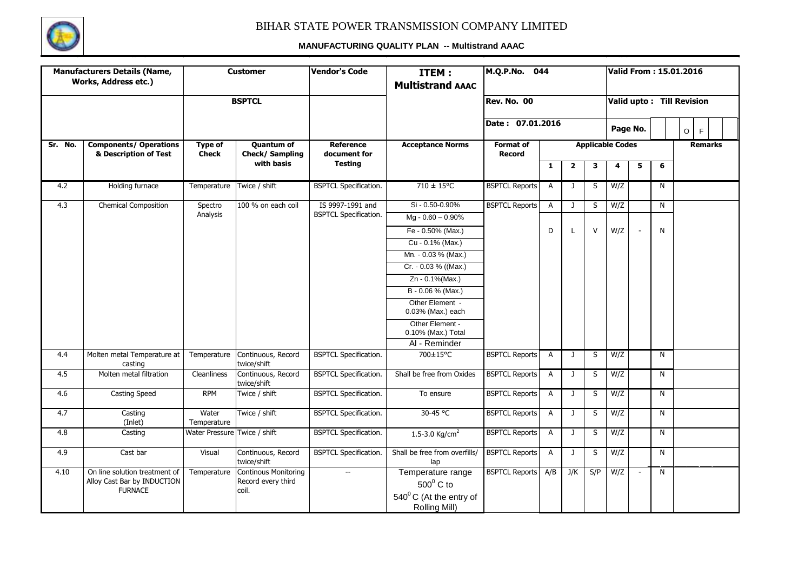

|         | <b>Manufacturers Details (Name,</b><br><b>Works, Address etc.)</b> |                                | <b>Customer</b>                            | <b>Vendor's Code</b>             | ITEM:<br><b>Multistrand AAAC</b>                  | M.Q.P.No. 044                     |                |                         |        |                         | Valid From: 15.01.2016    |   |         |                |  |
|---------|--------------------------------------------------------------------|--------------------------------|--------------------------------------------|----------------------------------|---------------------------------------------------|-----------------------------------|----------------|-------------------------|--------|-------------------------|---------------------------|---|---------|----------------|--|
|         |                                                                    |                                | <b>BSPTCL</b>                              |                                  |                                                   | Rev. No. 00                       |                |                         |        |                         | Valid upto: Till Revision |   |         |                |  |
|         |                                                                    |                                |                                            |                                  |                                                   | Date: 07.01.2016                  |                |                         |        |                         | Page No.                  |   | $\circ$ | F              |  |
| Sr. No. | <b>Components/ Operations</b><br>& Description of Test             | <b>Type of</b><br><b>Check</b> | <b>Quantum of</b><br><b>Check/Sampling</b> | <b>Reference</b><br>document for | <b>Acceptance Norms</b>                           | <b>Format of</b><br><b>Record</b> |                |                         |        | <b>Applicable Codes</b> |                           |   |         | <b>Remarks</b> |  |
|         |                                                                    |                                | with basis                                 | <b>Testing</b>                   |                                                   |                                   | $\mathbf{1}$   | $\overline{\mathbf{2}}$ | 3      | 4                       | 5                         | 6 |         |                |  |
| 4.2     | Holding furnace                                                    | Temperature                    | Twice / shift                              | <b>BSPTCL Specification.</b>     | $710 \pm 15^{\circ}$ C                            | <b>BSPTCL Reports</b>             | A              | J                       | S      | W/Z                     |                           | N |         |                |  |
| 4.3     | <b>Chemical Composition</b>                                        | Spectro                        | 100 % on each coil                         | IS 9997-1991 and                 | Si - 0.50-0.90%                                   | <b>BSPTCL Reports</b>             | A              | J                       | S      | W/Z                     |                           | N |         |                |  |
|         |                                                                    | Analysis                       |                                            | <b>BSPTCL Specification.</b>     | Mg - 0.60 - 0.90%                                 |                                   |                |                         |        |                         |                           |   |         |                |  |
|         |                                                                    |                                |                                            |                                  | Fe - 0.50% (Max.)                                 |                                   | D              |                         | $\vee$ | W/Z                     |                           | N |         |                |  |
|         |                                                                    |                                |                                            |                                  | Cu - 0.1% (Max.)                                  |                                   |                |                         |        |                         |                           |   |         |                |  |
|         |                                                                    |                                |                                            |                                  | Mn. - 0.03 % (Max.)                               |                                   |                |                         |        |                         |                           |   |         |                |  |
|         |                                                                    |                                |                                            |                                  | Cr. - 0.03 % ((Max.)                              |                                   |                |                         |        |                         |                           |   |         |                |  |
|         |                                                                    |                                |                                            |                                  | Zn - 0.1%(Max.)                                   |                                   |                |                         |        |                         |                           |   |         |                |  |
|         |                                                                    |                                |                                            |                                  | B - 0.06 % (Max.)                                 |                                   |                |                         |        |                         |                           |   |         |                |  |
|         |                                                                    |                                |                                            |                                  | Other Element -<br>0.03% (Max.) each              |                                   |                |                         |        |                         |                           |   |         |                |  |
|         |                                                                    |                                |                                            |                                  | Other Element -<br>0.10% (Max.) Total             |                                   |                |                         |        |                         |                           |   |         |                |  |
|         |                                                                    |                                |                                            |                                  | AI - Reminder                                     |                                   |                |                         |        |                         |                           |   |         |                |  |
| 4.4     | Molten metal Temperature at<br>casting                             | Temperature                    | Continuous, Record<br>twice/shift          | <b>BSPTCL Specification.</b>     | 700±15°C                                          | <b>BSPTCL Reports</b>             | $\overline{A}$ | $\mathbf{J}$            | S      | W/Z                     |                           | N |         |                |  |
| 4.5     | Molten metal filtration                                            | Cleanliness                    | Continuous, Record<br>twice/shift          | <b>BSPTCL Specification.</b>     | Shall be free from Oxides                         | <b>BSPTCL Reports</b>             | A              | $\mathsf{J}$            | S      | W/Z                     |                           | N |         |                |  |
| 4.6     | <b>Casting Speed</b>                                               | <b>RPM</b>                     | Twice / shift                              | <b>BSPTCL Specification.</b>     | To ensure                                         | <b>BSPTCL Reports</b>             | $\overline{A}$ | J                       | S      | W/Z                     |                           | N |         |                |  |
| 4.7     | Casting<br>(Inlet)                                                 | Water<br>Temperature           | Twice / shift                              | <b>BSPTCL Specification.</b>     | 30-45 °C                                          | <b>BSPTCL Reports</b>             | A              | J                       | S      | W/Z                     |                           | N |         |                |  |
| 4.8     | Casting                                                            | Water Pressure Twice / shift   |                                            | <b>BSPTCL Specification.</b>     | 1.5-3.0 Kg/cm <sup>2</sup>                        | <b>BSPTCL Reports</b>             | $\mathsf{A}$   | $\mathbf{J}$            | S      | W/Z                     |                           | N |         |                |  |
| 4.9     | Cast bar                                                           | Visual                         | Continuous, Record<br>twice/shift          | <b>BSPTCL Specification.</b>     | Shall be free from overfills/<br>lap              | <b>BSPTCL Reports</b>             | $\overline{A}$ | J                       | S      | W/Z                     |                           | N |         |                |  |
| 4.10    | On line solution treatment of                                      | Temperature                    | <b>Continous Monitoring</b>                | $\overline{\phantom{a}}$         | Temperature range                                 | <b>BSPTCL Reports</b>             | A/B            | J/K                     | S/P    | W/Z                     |                           | N |         |                |  |
|         | Alloy Cast Bar by INDUCTION<br><b>FURNACE</b>                      |                                | Record every third<br>coil.                |                                  | $500^{\circ}$ C to                                |                                   |                |                         |        |                         |                           |   |         |                |  |
|         |                                                                    |                                |                                            |                                  | $540^{\circ}$ C (At the entry of<br>Rolling Mill) |                                   |                |                         |        |                         |                           |   |         |                |  |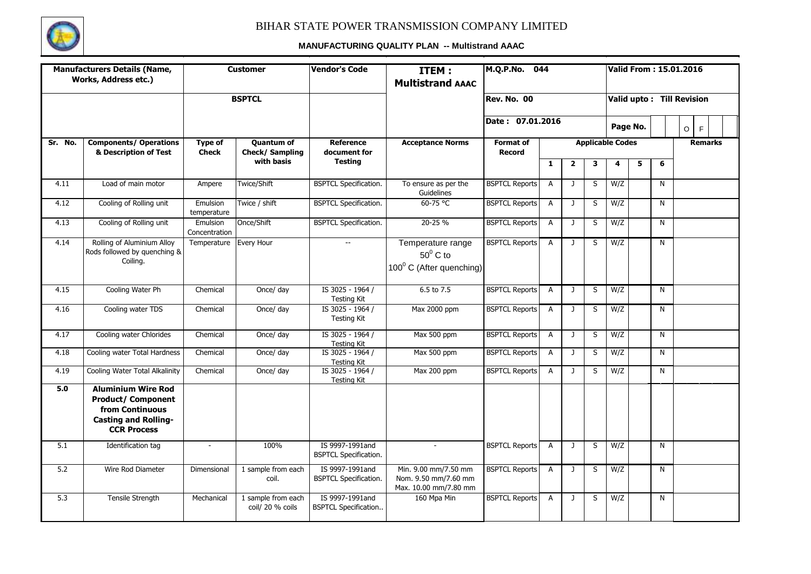

|         | <b>Manufacturers Details (Name,</b><br><b>Works, Address etc.)</b>                                                             |                                | <b>Customer</b>                        | <b>Vendor's Code</b>                            | ITEM:<br><b>Multistrand AAAC</b>                                      | M.Q.P.No.                         | 044            |                |                         |                         |          |              | Valid From: 15.01.2016    |
|---------|--------------------------------------------------------------------------------------------------------------------------------|--------------------------------|----------------------------------------|-------------------------------------------------|-----------------------------------------------------------------------|-----------------------------------|----------------|----------------|-------------------------|-------------------------|----------|--------------|---------------------------|
|         |                                                                                                                                |                                | <b>BSPTCL</b>                          |                                                 |                                                                       | Rev. No. 00                       |                |                |                         |                         |          |              | Valid upto: Till Revision |
|         |                                                                                                                                |                                |                                        |                                                 |                                                                       | Date: 07.01.2016                  |                |                |                         |                         | Page No. |              | $\circ$<br>F              |
| Sr. No. | <b>Components/ Operations</b><br>& Description of Test                                                                         | <b>Type of</b><br><b>Check</b> | <b>Ouantum of</b><br>Check/ Sampling   | <b>Reference</b><br>document for                | <b>Acceptance Norms</b>                                               | <b>Format of</b><br><b>Record</b> |                |                |                         | <b>Applicable Codes</b> |          |              | <b>Remarks</b>            |
|         |                                                                                                                                |                                | with basis                             | <b>Testing</b>                                  |                                                                       |                                   | $\mathbf{1}$   | $\overline{2}$ | 3                       | 4                       | 5        | 6            |                           |
| 4.11    | Load of main motor                                                                                                             | Ampere                         | Twice/Shift                            | <b>BSPTCL Specification.</b>                    | To ensure as per the<br>Guidelines                                    | <b>BSPTCL Reports</b>             | $\mathsf{A}$   | $\mathbf{J}$   | S                       | W/Z                     |          | N            |                           |
| 4.12    | Cooling of Rolling unit                                                                                                        | Emulsion<br>temperature        | Twice / shift                          | <b>BSPTCL Specification.</b>                    | 60-75 °C                                                              | <b>BSPTCL Reports</b>             | $\overline{A}$ | J              | S                       | W/Z                     |          | N            |                           |
| 4.13    | Cooling of Rolling unit                                                                                                        | Emulsion<br>Concentration      | Once/Shift                             | <b>BSPTCL Specification.</b>                    | 20-25 %                                                               | <b>BSPTCL Reports</b>             | $\overline{A}$ | J              | S                       | W/Z                     |          | $\mathsf{N}$ |                           |
| 4.14    | Rolling of Aluminium Alloy<br>Rods followed by quenching &<br>Coilina.                                                         | Temperature                    | Every Hour                             | $\sim$                                          | Temperature range<br>$50^0$ C to<br>$100^{\circ}$ C (After quenching) | <b>BSPTCL Reports</b>             | A              | $\mathbf{J}$   | $\overline{\mathsf{s}}$ | W/Z                     |          | N            |                           |
| 4.15    | Cooling Water Ph                                                                                                               | Chemical                       | Once/ day                              | IS 3025 - 1964 /<br><b>Testing Kit</b>          | 6.5 to 7.5                                                            | <b>BSPTCL Reports</b>             | $\mathsf{A}$   | J              | S                       | W/Z                     |          | N            |                           |
| 4.16    | Cooling water TDS                                                                                                              | Chemical                       | Once/ day                              | IS 3025 - 1964 /<br><b>Testing Kit</b>          | Max 2000 ppm                                                          | <b>BSPTCL Reports</b>             | $\overline{A}$ | J              | S                       | W/Z                     |          | N            |                           |
| 4.17    | Cooling water Chlorides                                                                                                        | Chemical                       | Once/ day                              | IS 3025 - 1964 /<br><b>Testing Kit</b>          | Max 500 ppm                                                           | <b>BSPTCL Reports</b>             | $\overline{A}$ | $\mathbf{J}$   | S                       | W/Z                     |          | N            |                           |
| 4.18    | Cooling water Total Hardness                                                                                                   | Chemical                       | Once/ day                              | IS 3025 - 1964 /<br><b>Testing Kit</b>          | Max 500 ppm                                                           | <b>BSPTCL Reports</b>             | $\overline{A}$ | $\mathbf{J}$   | S                       | W/Z                     |          | N            |                           |
| 4.19    | Cooling Water Total Alkalinity                                                                                                 | Chemical                       | Once/ day                              | IS 3025 - 1964 /<br><b>Testing Kit</b>          | Max 200 ppm                                                           | <b>BSPTCL Reports</b>             | A              | $\mathbf{J}$   | S                       | W/Z                     |          | N            |                           |
| 5.0     | <b>Aluminium Wire Rod</b><br><b>Product/ Component</b><br>from Continuous<br><b>Casting and Rolling-</b><br><b>CCR Process</b> |                                |                                        |                                                 |                                                                       |                                   |                |                |                         |                         |          |              |                           |
| 5.1     | Identification tag                                                                                                             | $\blacksquare$                 | 100%                                   | IS 9997-1991and<br><b>BSPTCL Specification.</b> | $\sim$                                                                | <b>BSPTCL Reports</b>             | A              | J              | S                       | W/Z                     |          | N            |                           |
| 5.2     | Wire Rod Diameter                                                                                                              | Dimensional                    | 1 sample from each<br>coil.            | IS 9997-1991and<br><b>BSPTCL Specification.</b> | Min. 9.00 mm/7.50 mm<br>Nom. 9.50 mm/7.60 mm<br>Max. 10.00 mm/7.80 mm | <b>BSPTCL Reports</b>             | $\overline{A}$ | J              | S                       | W/Z                     |          | N            |                           |
| 5.3     | <b>Tensile Strength</b>                                                                                                        | Mechanical                     | 1 sample from each<br>coil/ 20 % coils | IS 9997-1991and<br><b>BSPTCL Specification</b>  | 160 Mpa Min                                                           | <b>BSPTCL Reports</b>             | $\overline{A}$ | $\mathbf{J}$   | S                       | W/Z                     |          | $\mathsf{N}$ |                           |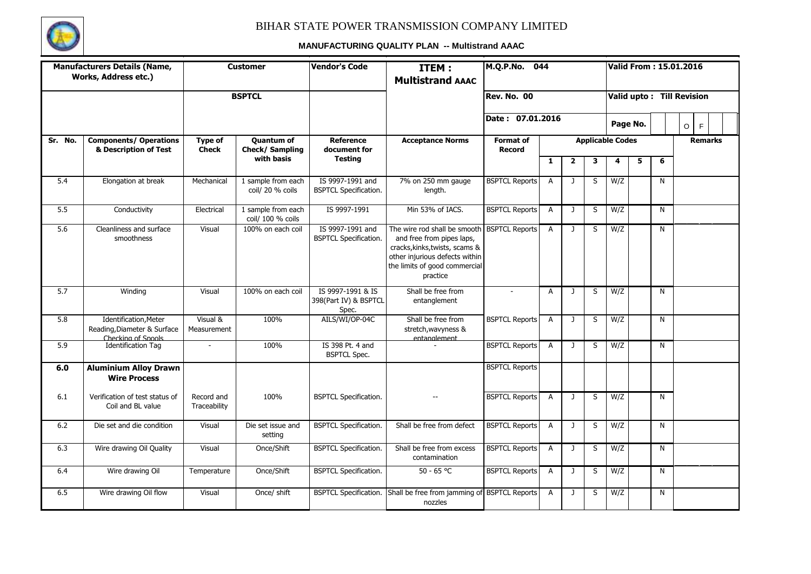

|                  | <b>Manufacturers Details (Name,</b><br>Works, Address etc.)                |                            | <b>Customer</b>                            | <b>Vendor's Code</b>                                | ITEM:<br><b>Multistrand AAAC</b>                                                                                                                                                          | M.Q.P.No.                         | 044            |                |   |                         |   |              | Valid From: 15.01.2016    |
|------------------|----------------------------------------------------------------------------|----------------------------|--------------------------------------------|-----------------------------------------------------|-------------------------------------------------------------------------------------------------------------------------------------------------------------------------------------------|-----------------------------------|----------------|----------------|---|-------------------------|---|--------------|---------------------------|
|                  |                                                                            |                            | <b>BSPTCL</b>                              |                                                     |                                                                                                                                                                                           | Rev. No. 00                       |                |                |   |                         |   |              | Valid upto: Till Revision |
|                  |                                                                            |                            |                                            |                                                     |                                                                                                                                                                                           | Date: 07.01.2016                  |                |                |   | Page No.                |   |              | F<br>$\circ$              |
| Sr. No.          | <b>Components/ Operations</b><br>& Description of Test                     | Type of<br><b>Check</b>    | <b>Ouantum of</b><br><b>Check/Sampling</b> | <b>Reference</b><br>document for                    | <b>Acceptance Norms</b>                                                                                                                                                                   | <b>Format of</b><br><b>Record</b> |                |                |   | <b>Applicable Codes</b> |   |              | <b>Remarks</b>            |
|                  |                                                                            |                            | with basis                                 | <b>Testing</b>                                      |                                                                                                                                                                                           |                                   | $\mathbf{1}$   | $\overline{2}$ | 3 | 4                       | 5 | 6            |                           |
| 5.4              | Elongation at break                                                        | Mechanical                 | 1 sample from each<br>coil/ 20 % coils     | IS 9997-1991 and<br><b>BSPTCL Specification.</b>    | 7% on 250 mm gauge<br>length.                                                                                                                                                             | <b>BSPTCL Reports</b>             | A              | $\mathbf{J}$   | S | W/Z                     |   | N            |                           |
| $\overline{5.5}$ | Conductivity                                                               | Electrical                 | 1 sample from each<br>coil/ 100 % coils    | IS 9997-1991                                        | Min 53% of IACS.                                                                                                                                                                          | <b>BSPTCL Reports</b>             | $\overline{A}$ | $\mathbf{J}$   | S | W/Z                     |   | N            |                           |
| 5.6              | Cleanliness and surface<br>smoothness                                      | Visual                     | 100% on each coil                          | IS 9997-1991 and<br><b>BSPTCL Specification.</b>    | The wire rod shall be smooth BSPTCL Reports<br>and free from pipes laps,<br>cracks, kinks, twists, scams &<br>other injurious defects within<br>the limits of good commercial<br>practice |                                   | $\overline{A}$ | $\mathbf{J}$   | S | W/Z                     |   | N            |                           |
| $\overline{5.7}$ | Winding                                                                    | Visual                     | 100% on each coil                          | IS 9997-1991 & IS<br>398(Part IV) & BSPTCL<br>Spec. | Shall be free from<br>entanglement                                                                                                                                                        | $\overline{a}$                    | A              | $\mathbf{J}$   | S | W/Z                     |   | N            |                           |
| 5.8              | Identification, Meter<br>Reading, Diameter & Surface<br>Checking of Spools | Visual &<br>Measurement    | 100%                                       | AILS/WI/OP-04C                                      | Shall be free from<br>stretch, wavyness &<br>entanglement                                                                                                                                 | <b>BSPTCL Reports</b>             | A              | J              | S | W/Z                     |   | $\mathsf{N}$ |                           |
| 5.9              | <b>Identification Tag</b>                                                  | $\mathcal{L}$              | 100%                                       | IS 398 Pt. 4 and<br><b>BSPTCL Spec.</b>             |                                                                                                                                                                                           | <b>BSPTCL Reports</b>             | $\overline{A}$ | $\mathbf{J}$   | S | W/Z                     |   | N            |                           |
| 6.0              | <b>Aluminium Alloy Drawn</b><br><b>Wire Process</b>                        |                            |                                            |                                                     |                                                                                                                                                                                           | <b>BSPTCL Reports</b>             |                |                |   |                         |   |              |                           |
| 6.1              | Verification of test status of<br>Coil and BL value                        | Record and<br>Traceability | 100%                                       | <b>BSPTCL Specification.</b>                        | $\overline{a}$                                                                                                                                                                            | <b>BSPTCL Reports</b>             | $\overline{A}$ | J              | S | W/Z                     |   | N            |                           |
| $6.2$            | Die set and die condition                                                  | Visual                     | Die set issue and<br>setting               | <b>BSPTCL Specification.</b>                        | Shall be free from defect                                                                                                                                                                 | <b>BSPTCL Reports</b>             | $\mathsf{A}$   | $\mathbf{J}$   | S | W/Z                     |   | N            |                           |
| 6.3              | Wire drawing Oil Quality                                                   | Visual                     | Once/Shift                                 | <b>BSPTCL Specification.</b>                        | Shall be free from excess<br>contamination                                                                                                                                                | <b>BSPTCL Reports</b>             | $\overline{A}$ | $\mathbf{J}$   | S | W/Z                     |   | $\mathsf{N}$ |                           |
| 6.4              | Wire drawing Oil                                                           | Temperature                | Once/Shift                                 | <b>BSPTCL Specification.</b>                        | $50 - 65 °C$                                                                                                                                                                              | <b>BSPTCL Reports</b>             | A              | J              | S | W/Z                     |   | $\mathsf{N}$ |                           |
| 6.5              | Wire drawing Oil flow                                                      | Visual                     | Once/ shift                                |                                                     | BSPTCL Specification. Shall be free from jamming of BSPTCL Reports<br>nozzles                                                                                                             |                                   | $\overline{A}$ | $\mathbf{J}$   | S | W/Z                     |   | $\mathsf{N}$ |                           |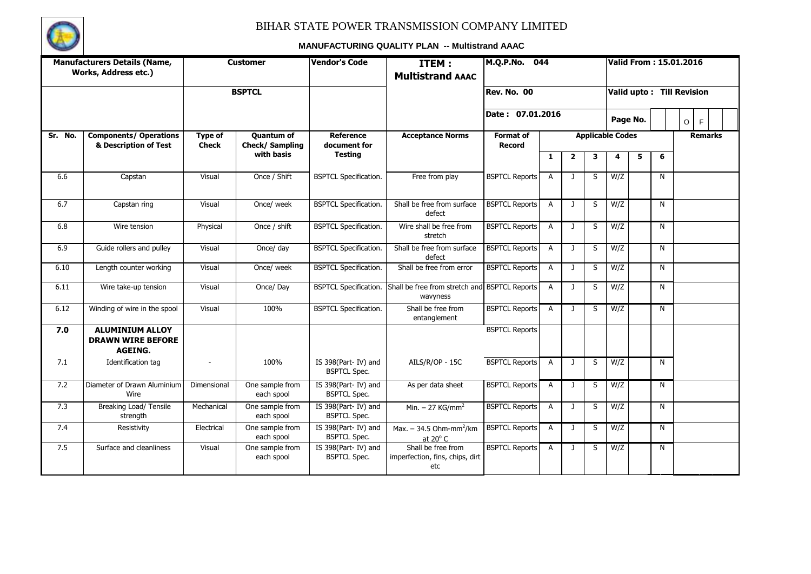

|         | <b>Manufacturers Details (Name,</b><br>Works, Address etc.)   |                  | <b>Customer</b>                            | <b>Vendor's Code</b>                       | ITEM:<br><b>Multistrand AAAC</b>                             | M.Q.P.No.<br>044                  |                |                         |   |                         | <b>Valid From: 15.01.2016</b> |              |         |   |                |  |
|---------|---------------------------------------------------------------|------------------|--------------------------------------------|--------------------------------------------|--------------------------------------------------------------|-----------------------------------|----------------|-------------------------|---|-------------------------|-------------------------------|--------------|---------|---|----------------|--|
|         |                                                               |                  | <b>BSPTCL</b>                              |                                            |                                                              | Rev. No. 00                       |                |                         |   |                         | Valid upto: Till Revision     |              |         |   |                |  |
|         |                                                               |                  |                                            |                                            |                                                              | Date: 07.01.2016                  |                |                         |   | Page No.                |                               |              | $\circ$ | F |                |  |
| Sr. No. | <b>Components/ Operations</b><br>& Description of Test        | Type of<br>Check | <b>Quantum of</b><br><b>Check/Sampling</b> | <b>Reference</b><br>document for           | <b>Acceptance Norms</b>                                      | <b>Format of</b><br><b>Record</b> |                |                         |   | <b>Applicable Codes</b> |                               |              |         |   | <b>Remarks</b> |  |
|         |                                                               |                  | with basis                                 | <b>Testing</b>                             |                                                              |                                   | 1              | $\overline{\mathbf{2}}$ | 3 | 4                       | 5                             | 6            |         |   |                |  |
| 6.6     | Capstan                                                       | Visual           | Once / Shift                               | <b>BSPTCL Specification.</b>               | Free from play                                               | <b>BSPTCL Reports</b>             | $\overline{A}$ | $\mathbf{J}$            | S | W/Z                     |                               | $\mathsf{N}$ |         |   |                |  |
| 6.7     | Capstan ring                                                  | Visual           | Once/ week                                 | <b>BSPTCL Specification.</b>               | Shall be free from surface<br>defect                         | <b>BSPTCL Reports</b>             | A              | J                       | S | W/Z                     |                               | N            |         |   |                |  |
| 6.8     | Wire tension                                                  | Physical         | Once / shift                               | <b>BSPTCL Specification.</b>               | Wire shall be free from<br>stretch                           | <b>BSPTCL Reports</b>             | A              | J                       | S | W/Z                     |                               | N            |         |   |                |  |
| 6.9     | Guide rollers and pulley                                      | Visual           | Once/ day                                  | <b>BSPTCL Specification.</b>               | Shall be free from surface<br>defect                         | <b>BSPTCL Reports</b>             | $\overline{A}$ | $\mathbf{J}$            | S | W/Z                     |                               | N            |         |   |                |  |
| 6.10    | Length counter working                                        | Visual           | Once/ week                                 | <b>BSPTCL Specification.</b>               | Shall be free from error                                     | <b>BSPTCL Reports</b>             | $\mathsf{A}$   | $\mathbf{J}$            | S | W/Z                     |                               | N            |         |   |                |  |
| 6.11    | Wire take-up tension                                          | Visual           | Once/Day                                   | <b>BSPTCL Specification.</b>               | Shall be free from stretch and BSPTCL Reports<br>wavyness    |                                   | A              | $\mathbf{J}$            | S | W/Z                     |                               | $\mathsf{N}$ |         |   |                |  |
| 6.12    | Winding of wire in the spool                                  | Visual           | 100%                                       | <b>BSPTCL Specification.</b>               | Shall be free from<br>entanglement                           | <b>BSPTCL Reports</b>             | $\overline{A}$ | $\mathbf{J}$            | S | W/Z                     |                               | $\mathsf{N}$ |         |   |                |  |
| 7.0     | <b>ALUMINIUM ALLOY</b><br><b>DRAWN WIRE BEFORE</b><br>AGEING. |                  |                                            |                                            |                                                              | <b>BSPTCL Reports</b>             |                |                         |   |                         |                               |              |         |   |                |  |
| 7.1     | Identification tag                                            |                  | 100%                                       | IS 398(Part-IV) and<br><b>BSPTCL Spec.</b> | AILS/R/OP - 15C                                              | <b>BSPTCL Reports</b>             | $\mathsf{A}$   | J                       | S | W/Z                     |                               | N            |         |   |                |  |
| 7.2     | Diameter of Drawn Aluminium<br>Wire                           | Dimensional      | One sample from<br>each spool              | IS 398(Part-IV) and<br><b>BSPTCL Spec.</b> | As per data sheet                                            | <b>BSPTCL Reports</b>             | A              | J                       | S | W/Z                     |                               | N            |         |   |                |  |
| 7.3     | Breaking Load/ Tensile<br>strength                            | Mechanical       | One sample from<br>each spool              | IS 398(Part-IV) and<br><b>BSPTCL Spec.</b> | Min. $-$ 27 KG/mm <sup>2</sup>                               | <b>BSPTCL Reports</b>             | $\overline{A}$ | $\mathbf{J}$            | S | W/Z                     |                               | N            |         |   |                |  |
| 7.4     | Resistivity                                                   | Electrical       | One sample from<br>each spool              | IS 398(Part-IV) and<br><b>BSPTCL Spec.</b> | Max. $-$ 34.5 Ohm-mm <sup>2</sup> /km<br>at $20^{\circ}$ C   | <b>BSPTCL Reports</b>             | $\mathsf{A}$   | $\mathbf{J}$            | S | W/Z                     |                               | N            |         |   |                |  |
| 7.5     | Surface and cleanliness                                       | Visual           | One sample from<br>each spool              | IS 398(Part-IV) and<br><b>BSPTCL Spec.</b> | Shall be free from<br>imperfection, fins, chips, dirt<br>etc | <b>BSPTCL Reports</b>             | $\overline{A}$ | J                       | S | W/Z                     |                               | N            |         |   |                |  |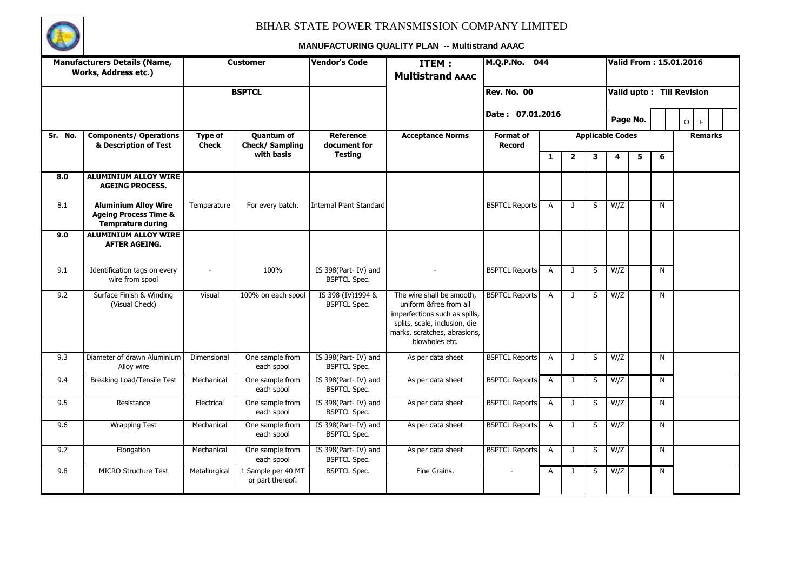

|         | <b>Manufacturers Details (Name,</b><br>Works, Address etc.)                                 |                         | <b>Customer</b>                        | <b>Vendor's Code</b>                       | ITEM:<br><b>Multistrand AAAC</b>                                                                                                                                        | M.Q.P.No. 044                     |                |                                                                |   |          |   |                                                            | <b>Valid From: 15.01.2016</b> |
|---------|---------------------------------------------------------------------------------------------|-------------------------|----------------------------------------|--------------------------------------------|-------------------------------------------------------------------------------------------------------------------------------------------------------------------------|-----------------------------------|----------------|----------------------------------------------------------------|---|----------|---|------------------------------------------------------------|-------------------------------|
|         |                                                                                             |                         | <b>BSPTCL</b>                          |                                            |                                                                                                                                                                         | <b>Rev. No. 00</b>                |                |                                                                |   |          |   | 6<br>N<br>N<br>$\mathsf{N}$<br>N<br>N<br>N<br>$\mathsf{N}$ | Valid upto: Till Revision     |
|         |                                                                                             |                         |                                        |                                            |                                                                                                                                                                         | Date: 07.01.2016                  |                |                                                                |   | Page No. |   |                                                            | F<br>$\circ$                  |
| Sr. No. | <b>Components/ Operations</b><br>& Description of Test                                      | Type of<br><b>Check</b> | <b>Quantum of</b><br>Check/Sampling    | <b>Reference</b><br>document for           | <b>Acceptance Norms</b>                                                                                                                                                 | <b>Format of</b><br><b>Record</b> |                | <b>Applicable Codes</b><br>$\mathbf{1}$<br>$\overline{2}$<br>3 |   |          |   |                                                            | <b>Remarks</b>                |
|         |                                                                                             |                         | with basis                             | <b>Testing</b>                             |                                                                                                                                                                         |                                   |                |                                                                |   | 4        | 5 |                                                            |                               |
| 8.0     | <b>ALUMINIUM ALLOY WIRE</b><br><b>AGEING PROCESS.</b>                                       |                         |                                        |                                            |                                                                                                                                                                         |                                   |                |                                                                |   |          |   |                                                            |                               |
| 8.1     | <b>Aluminium Alloy Wire</b><br><b>Ageing Process Time &amp;</b><br><b>Temprature during</b> | Temperature             | For every batch.                       | <b>Internal Plant Standard</b>             |                                                                                                                                                                         | <b>BSPTCL Reports</b>             | A              | $\mathbf{J}$                                                   | S | W/Z      |   |                                                            |                               |
| 9.0     | <b>ALUMINIUM ALLOY WIRE</b><br><b>AFTER AGEING.</b>                                         |                         |                                        |                                            |                                                                                                                                                                         |                                   |                |                                                                |   |          |   |                                                            |                               |
| 9.1     | Identification tags on every<br>wire from spool                                             |                         | 100%                                   | IS 398(Part-IV) and<br><b>BSPTCL Spec.</b> |                                                                                                                                                                         | <b>BSPTCL Reports</b>             | A              | $\mathbf{J}$                                                   | S | W/Z      |   |                                                            |                               |
| 9.2     | Surface Finish & Winding<br>(Visual Check)                                                  | Visual                  | 100% on each spool                     | IS 398 (IV) 1994 &<br><b>BSPTCL Spec.</b>  | The wire shall be smooth,<br>uniform &free from all<br>imperfections such as spills,<br>splits, scale, inclusion, die<br>marks, scratches, abrasions,<br>blowholes etc. | <b>BSPTCL Reports</b>             | $\overline{A}$ | $\mathbf{J}$                                                   | S | W/Z      |   |                                                            |                               |
| 9.3     | Diameter of drawn Aluminium<br>Alloy wire                                                   | Dimensional             | One sample from<br>each spool          | IS 398(Part-IV) and<br><b>BSPTCL Spec.</b> | As per data sheet                                                                                                                                                       | <b>BSPTCL Reports</b>             | $\overline{A}$ | $\mathbf{J}$                                                   | S | W/Z      |   |                                                            |                               |
| 9.4     | Breaking Load/Tensile Test                                                                  | Mechanical              | One sample from<br>each spool          | IS 398(Part-IV) and<br><b>BSPTCL Spec.</b> | As per data sheet                                                                                                                                                       | <b>BSPTCL Reports</b>             | $\mathsf{A}$   | $\mathbf{J}$                                                   | S | W/Z      |   |                                                            |                               |
| 9.5     | Resistance                                                                                  | Electrical              | One sample from<br>each spool          | IS 398(Part-IV) and<br><b>BSPTCL Spec.</b> | As per data sheet                                                                                                                                                       | <b>BSPTCL Reports</b>             | $\overline{A}$ | $\mathbf{J}$                                                   | S | W/Z      |   |                                                            |                               |
| 9.6     | <b>Wrapping Test</b>                                                                        | Mechanical              | One sample from<br>each spool          | IS 398(Part-IV) and<br><b>BSPTCL Spec.</b> | As per data sheet                                                                                                                                                       | <b>BSPTCL Reports</b>             | $\overline{A}$ | $\mathbf{J}$                                                   | S | W/Z      |   |                                                            |                               |
| 9.7     | Elongation                                                                                  | Mechanical              | One sample from<br>each spool          | IS 398(Part-IV) and<br><b>BSPTCL Spec.</b> | As per data sheet                                                                                                                                                       | <b>BSPTCL Reports</b>             | $\mathsf{A}$   | $\mathbf{J}$                                                   | S | W/Z      |   | N                                                          |                               |
| 9.8     | <b>MICRO Structure Test</b>                                                                 | Metallurgical           | 1 Sample per 40 MT<br>or part thereof. | <b>BSPTCL Spec.</b>                        | Fine Grains.                                                                                                                                                            |                                   | A              | $\mathbf{J}$                                                   | S | W/Z      |   | N                                                          |                               |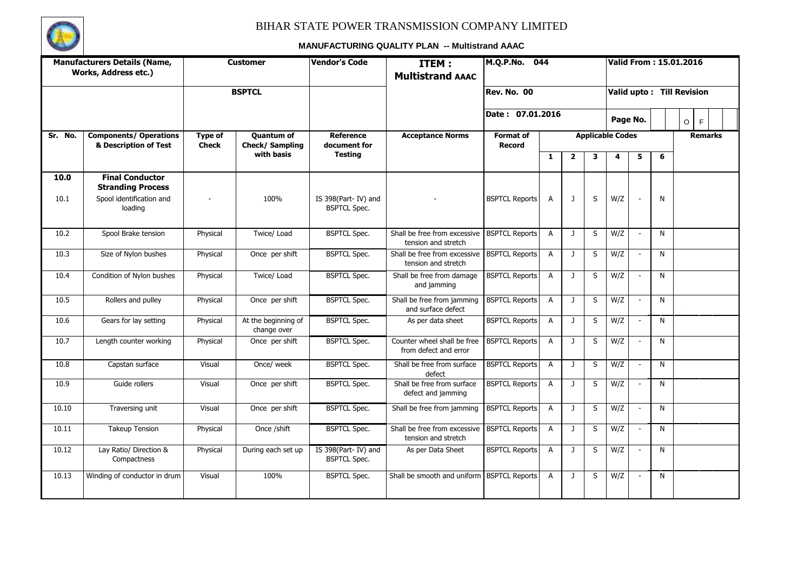

|         | <b>Manufacturers Details (Name,</b><br>Works, Address etc.) |                         | <b>Customer</b>                      | <b>Vendor's Code</b>                       | <b>ITEM:</b><br><b>Multistrand AAAC</b>                              | M.Q.P.No. 044                     |                |                |         |                         |                          |              | Valid From: 15.01.2016    |
|---------|-------------------------------------------------------------|-------------------------|--------------------------------------|--------------------------------------------|----------------------------------------------------------------------|-----------------------------------|----------------|----------------|---------|-------------------------|--------------------------|--------------|---------------------------|
|         |                                                             |                         | <b>BSPTCL</b>                        |                                            |                                                                      | <b>Rev. No. 00</b>                |                |                |         |                         |                          |              | Valid upto: Till Revision |
|         |                                                             |                         |                                      |                                            |                                                                      | Date: 07.01.2016                  |                |                |         |                         | Page No.                 |              | $\circ$<br>F              |
| Sr. No. | <b>Components/ Operations</b><br>& Description of Test      | Type of<br><b>Check</b> | <b>Quantum of</b><br>Check/ Sampling | <b>Reference</b><br>document for           | <b>Acceptance Norms</b>                                              | <b>Format of</b><br><b>Record</b> |                |                |         | <b>Applicable Codes</b> |                          |              | <b>Remarks</b>            |
|         |                                                             |                         | with basis                           | <b>Testing</b>                             |                                                                      |                                   | $\mathbf{1}$   | $\overline{2}$ | 3       | 4                       | 5                        | 6            |                           |
| 10.0    | <b>Final Conductor</b><br><b>Stranding Process</b>          |                         |                                      |                                            |                                                                      |                                   |                |                |         |                         |                          |              |                           |
| 10.1    | Spool identification and<br>loading                         |                         | 100%                                 | IS 398(Part-IV) and<br><b>BSPTCL Spec.</b> |                                                                      | <b>BSPTCL Reports</b>             | A              | $\mathbf{J}$   | S       | W/Z                     |                          | N            |                           |
| 10.2    | Spool Brake tension                                         | Physical                | Twice/ Load                          | <b>BSPTCL Spec.</b>                        | Shall be free from excessive   BSPTCL Reports<br>tension and stretch |                                   | $\overline{A}$ | $\mathbf{J}$   | S       | W/Z                     | $\sim$                   | N            |                           |
| 10.3    | Size of Nylon bushes                                        | Physical                | Once per shift                       | <b>BSPTCL Spec.</b>                        | Shall be free from excessive<br>tension and stretch                  | <b>BSPTCL Reports</b>             | $\overline{A}$ | $\mathbf{J}$   | S       | W/Z                     | $\sim$                   | N            |                           |
| 10.4    | Condition of Nylon bushes                                   | Physical                | Twice/ Load                          | <b>BSPTCL Spec.</b>                        | Shall be free from damage<br>and jamming                             | <b>BSPTCL Reports</b>             | A              | J              | S       | W/Z                     |                          | N            |                           |
| 10.5    | Rollers and pulley                                          | Physical                | Once per shift                       | <b>BSPTCL Spec.</b>                        | Shall be free from jamming<br>and surface defect                     | <b>BSPTCL Reports</b>             | $\overline{A}$ | $\mathbf{J}$   | S       | W/Z                     | $\sim$                   | $\mathsf{N}$ |                           |
| 10.6    | Gears for lay setting                                       | Physical                | At the beginning of<br>change over   | <b>BSPTCL Spec.</b>                        | As per data sheet                                                    | <b>BSPTCL Reports</b>             | $\overline{A}$ | $\mathbf{J}$   | S       | W/Z                     | $\sim$                   | N            |                           |
| 10.7    | Length counter working                                      | Physical                | Once per shift                       | <b>BSPTCL Spec.</b>                        | Counter wheel shall be free<br>from defect and error                 | <b>BSPTCL Reports</b>             | $\overline{A}$ | $\mathbf{J}$   | S       | W/Z                     | $\sim$                   | N            |                           |
| 10.8    | Capstan surface                                             | Visual                  | Once/ week                           | <b>BSPTCL Spec.</b>                        | Shall be free from surface<br>defect                                 | <b>BSPTCL Reports</b>             | $\overline{A}$ | $\mathbf{J}$   | S       | W/Z                     | $\mathcal{L}$            | N            |                           |
| 10.9    | Guide rollers                                               | Visual                  | Once per shift                       | <b>BSPTCL Spec.</b>                        | Shall be free from surface<br>defect and jamming                     | <b>BSPTCL Reports</b>             | $\overline{A}$ | $\mathbf{J}$   | S       | W/Z                     | $\sim$                   | $\mathsf{N}$ |                           |
| 10.10   | Traversing unit                                             | Visual                  | Once per shift                       | <b>BSPTCL Spec.</b>                        | Shall be free from jamming                                           | <b>BSPTCL Reports</b>             | $\overline{A}$ | $\mathbf{J}$   | S       | W/Z                     | $\overline{\phantom{a}}$ | N            |                           |
| 10.11   | <b>Takeup Tension</b>                                       | Physical                | Once /shift                          | <b>BSPTCL Spec.</b>                        | Shall be free from excessive<br>tension and stretch                  | <b>BSPTCL Reports</b>             | $\overline{A}$ | $\mathbf{J}$   | S       | W/Z                     | $\sim$                   | N            |                           |
| 10.12   | Lay Ratio/ Direction &<br>Compactness                       | Physical                | During each set up                   | IS 398(Part-IV) and<br><b>BSPTCL Spec.</b> | As per Data Sheet                                                    | <b>BSPTCL Reports</b>             | A              | J              | S       | W/Z                     | $\sim$                   | N            |                           |
| 10.13   | Winding of conductor in drum                                | Visual                  | 100%                                 | <b>BSPTCL Spec.</b>                        | Shall be smooth and uniform                                          | <b>BSPTCL Reports</b>             | $\overline{A}$ | J              | $\sf S$ | W/Z                     | $\overline{\phantom{a}}$ | N            |                           |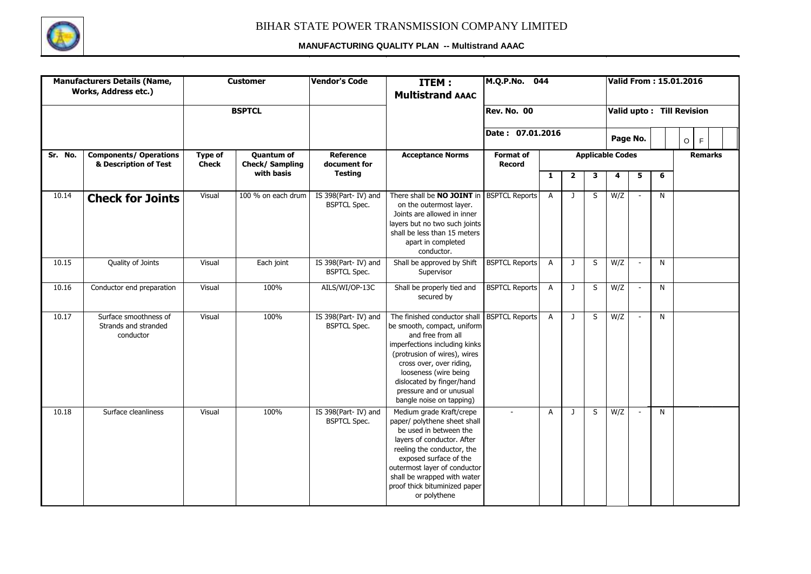

|         | <b>Manufacturers Details (Name,</b><br>Works, Address etc.) |                         | <b>Customer</b>                     | <b>Vendor's Code</b>                       | ITEM:<br><b>Multistrand AAAC</b>                                                                                                                                                                                                                                                                            | M.Q.P.No. 044                     |                |                |   |                         |              |              | Valid From: 15.01.2016    |
|---------|-------------------------------------------------------------|-------------------------|-------------------------------------|--------------------------------------------|-------------------------------------------------------------------------------------------------------------------------------------------------------------------------------------------------------------------------------------------------------------------------------------------------------------|-----------------------------------|----------------|----------------|---|-------------------------|--------------|--------------|---------------------------|
|         |                                                             |                         | <b>BSPTCL</b>                       |                                            |                                                                                                                                                                                                                                                                                                             | <b>Rev. No. 00</b>                |                |                |   |                         |              |              | Valid upto: Till Revision |
|         |                                                             |                         |                                     |                                            |                                                                                                                                                                                                                                                                                                             | Date: 07.01.2016                  |                |                |   |                         | Page No.     |              | $\circ$<br>F              |
| Sr. No. | <b>Components/ Operations</b><br>& Description of Test      | Type of<br><b>Check</b> | <b>Quantum of</b><br>Check/Sampling | <b>Reference</b><br>document for           | <b>Acceptance Norms</b>                                                                                                                                                                                                                                                                                     | <b>Format of</b><br><b>Record</b> |                |                |   | <b>Applicable Codes</b> |              |              | <b>Remarks</b>            |
|         |                                                             |                         | with basis                          | <b>Testing</b>                             |                                                                                                                                                                                                                                                                                                             |                                   | 1              | $\overline{2}$ | 3 | 4                       | 5            | 6            |                           |
| 10.14   | <b>Check for Joints</b>                                     | Visual                  | 100 % on each drum                  | IS 398(Part-IV) and<br><b>BSPTCL Spec.</b> | There shall be <b>NO JOINT</b> in BSPTCL Reports<br>on the outermost laver.<br>Joints are allowed in inner<br>layers but no two such joints<br>shall be less than 15 meters<br>apart in completed<br>conductor.                                                                                             |                                   | $\overline{A}$ | J              | S | W/Z                     |              | $\mathsf{N}$ |                           |
| 10.15   | Quality of Joints                                           | Visual                  | Each joint                          | IS 398(Part-IV) and<br><b>BSPTCL Spec.</b> | Shall be approved by Shift<br>Supervisor                                                                                                                                                                                                                                                                    | <b>BSPTCL Reports</b>             | $\overline{A}$ | $\mathbf{J}$   | S | W/Z                     | $\sim$       | $\mathsf{N}$ |                           |
| 10.16   | Conductor end preparation                                   | Visual                  | 100%                                | AILS/WI/OP-13C                             | Shall be properly tied and<br>secured by                                                                                                                                                                                                                                                                    | <b>BSPTCL Reports</b>             | A              | $\mathbf{J}$   | S | W/Z                     | $\mathbb{L}$ | $\mathsf{N}$ |                           |
| 10.17   | Surface smoothness of<br>Strands and stranded<br>conductor  | Visual                  | 100%                                | IS 398(Part-IV) and<br><b>BSPTCL Spec.</b> | The finished conductor shall   BSPTCL Reports<br>be smooth, compact, uniform<br>and free from all<br>imperfections including kinks<br>(protrusion of wires), wires<br>cross over, over riding,<br>looseness (wire being<br>dislocated by finger/hand<br>pressure and or unusual<br>bangle noise on tapping) |                                   | $\overline{A}$ | $\mathbf{J}$   | S | W/Z                     | $\sim$       | $\mathsf{N}$ |                           |
| 10.18   | Surface cleanliness                                         | Visual                  | 100%                                | IS 398(Part-IV) and<br><b>BSPTCL Spec.</b> | Medium grade Kraft/crepe<br>paper/ polythene sheet shall<br>be used in between the<br>layers of conductor. After<br>reeling the conductor, the<br>exposed surface of the<br>outermost layer of conductor<br>shall be wrapped with water<br>proof thick bituminized paper<br>or polythene                    | $\sim$                            | A              | J              | S | W/Z                     | $\sim$       | $\mathsf{N}$ |                           |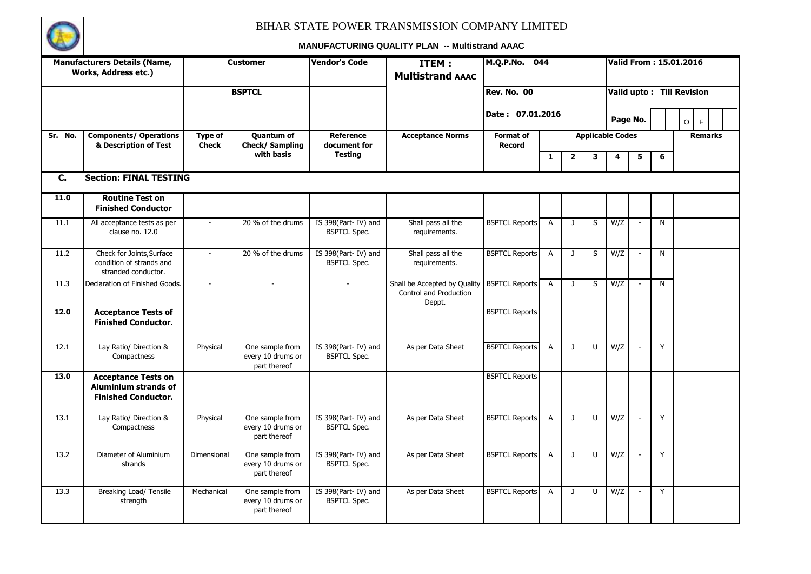

|         | <b>Manufacturers Details (Name,</b><br>Works, Address etc.)                             |                         | <b>Customer</b>                                      | <b>Vendor's Code</b>                        | <b>ITEM:</b><br><b>Multistrand AAAC</b>                          | M.Q.P.No. 044                     |                |              |   |                              |                          |   | <b>Valid From: 15.01.2016</b> |
|---------|-----------------------------------------------------------------------------------------|-------------------------|------------------------------------------------------|---------------------------------------------|------------------------------------------------------------------|-----------------------------------|----------------|--------------|---|------------------------------|--------------------------|---|-------------------------------|
|         |                                                                                         |                         | <b>BSPTCL</b>                                        |                                             |                                                                  | <b>Rev. No. 00</b>                |                |              |   |                              |                          |   | Valid upto: Till Revision     |
|         |                                                                                         |                         |                                                      |                                             |                                                                  | Date: 07.01.2016                  |                |              |   |                              | Page No.                 |   | $\circ$<br>F                  |
| Sr. No. | <b>Components/ Operations</b><br>& Description of Test                                  | Type of<br><b>Check</b> | <b>Quantum of</b><br>Check/ Sampling<br>with basis   | <b>Reference</b><br>document for<br>Testing | <b>Acceptance Norms</b>                                          | <b>Format of</b><br><b>Record</b> | $\mathbf{1}$   | $\mathbf{2}$ | 3 | <b>Applicable Codes</b><br>4 | 5                        | 6 | <b>Remarks</b>                |
| C.      | <b>Section: FINAL TESTING</b>                                                           |                         |                                                      |                                             |                                                                  |                                   |                |              |   |                              |                          |   |                               |
| 11.0    | <b>Routine Test on</b><br><b>Finished Conductor</b>                                     |                         |                                                      |                                             |                                                                  |                                   |                |              |   |                              |                          |   |                               |
| 11.1    | All acceptance tests as per<br>clause no. 12.0                                          | $\mathcal{L}$           | 20 % of the drums                                    | IS 398(Part-IV) and<br><b>BSPTCL Spec.</b>  | Shall pass all the<br>requirements.                              | <b>BSPTCL Reports</b>             | A              | J            | S | W/Z                          | $\overline{\phantom{a}}$ | N |                               |
| 11.2    | Check for Joints, Surface<br>condition of strands and<br>stranded conductor.            | $\mathcal{L}$           | 20 % of the drums                                    | IS 398(Part-IV) and<br><b>BSPTCL Spec.</b>  | Shall pass all the<br>requirements.                              | <b>BSPTCL Reports</b>             | $\overline{A}$ | $\mathbf{J}$ | S | W/Z                          | $\sim$                   | N |                               |
| 11.3    | Declaration of Finished Goods.                                                          | $\equiv$                | $\overline{\phantom{a}}$                             | $\sim$                                      | Shall be Accepted by Quality<br>Control and Production<br>Deppt. | <b>BSPTCL Reports</b>             | $\overline{A}$ | $\mathbf{J}$ | S | W/Z                          |                          | N |                               |
| 12.0    | <b>Acceptance Tests of</b><br><b>Finished Conductor.</b>                                |                         |                                                      |                                             |                                                                  | <b>BSPTCL Reports</b>             |                |              |   |                              |                          |   |                               |
| 12.1    | Lay Ratio/ Direction &<br>Compactness                                                   | Physical                | One sample from<br>every 10 drums or<br>part thereof | IS 398(Part-IV) and<br><b>BSPTCL Spec.</b>  | As per Data Sheet                                                | <b>BSPTCL Reports</b>             | A              | J            | U | W/Z                          | $\sim$                   | Y |                               |
| 13.0    | <b>Acceptance Tests on</b><br><b>Aluminium strands of</b><br><b>Finished Conductor.</b> |                         |                                                      |                                             |                                                                  | <b>BSPTCL Reports</b>             |                |              |   |                              |                          |   |                               |
| 13.1    | Lay Ratio/ Direction &<br>Compactness                                                   | Physical                | One sample from<br>every 10 drums or<br>part thereof | IS 398(Part-IV) and<br><b>BSPTCL Spec.</b>  | As per Data Sheet                                                | <b>BSPTCL Reports</b>             | A              | $\mathbf{J}$ | U | W/Z                          | $\overline{\phantom{a}}$ | Y |                               |
| 13.2    | Diameter of Aluminium<br>strands                                                        | Dimensional             | One sample from<br>every 10 drums or<br>part thereof | IS 398(Part-IV) and<br><b>BSPTCL Spec.</b>  | As per Data Sheet                                                | <b>BSPTCL Reports</b>             | $\overline{A}$ | J            | U | W/Z                          | $\sim$                   | Y |                               |
| 13.3    | Breaking Load/ Tensile<br>strength                                                      | Mechanical              | One sample from<br>every 10 drums or<br>part thereof | IS 398(Part-IV) and<br><b>BSPTCL Spec.</b>  | As per Data Sheet                                                | <b>BSPTCL Reports</b>             | A              | J            | U | W/Z                          | $\sim$                   | Y |                               |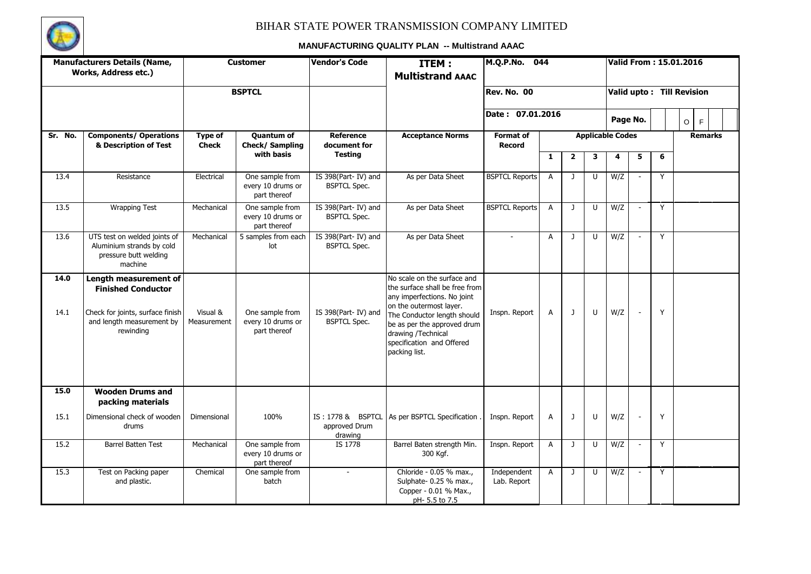

|              | <b>Manufacturers Details (Name,</b><br>Works, Address etc.)                                                                      |                                | <b>Customer</b>                                      | <b>Vendor's Code</b>                       | ITEM:<br><b>Multistrand AAAC</b>                                                                                                                                                                                                                          | M.Q.P.No.                         | 044            |              |        |                         |                          |   | Valid From: 15.01.2016    |
|--------------|----------------------------------------------------------------------------------------------------------------------------------|--------------------------------|------------------------------------------------------|--------------------------------------------|-----------------------------------------------------------------------------------------------------------------------------------------------------------------------------------------------------------------------------------------------------------|-----------------------------------|----------------|--------------|--------|-------------------------|--------------------------|---|---------------------------|
|              |                                                                                                                                  |                                | <b>BSPTCL</b>                                        |                                            |                                                                                                                                                                                                                                                           | <b>Rev. No. 00</b>                |                |              |        |                         |                          |   | Valid upto: Till Revision |
|              |                                                                                                                                  |                                |                                                      |                                            |                                                                                                                                                                                                                                                           | Date: 07.01.2016                  |                |              |        |                         | Page No.                 |   | $\circ$<br>F              |
| Sr. No.      | <b>Components/ Operations</b><br>& Description of Test                                                                           | <b>Type of</b><br><b>Check</b> | <b>Quantum of</b><br>Check/ Sampling                 | <b>Reference</b><br>document for           | <b>Acceptance Norms</b>                                                                                                                                                                                                                                   | <b>Format of</b><br><b>Record</b> |                |              |        | <b>Applicable Codes</b> |                          |   | <b>Remarks</b>            |
|              |                                                                                                                                  |                                | with basis                                           | <b>Testing</b>                             |                                                                                                                                                                                                                                                           |                                   | 1              | $\mathbf{2}$ | 3      | 4                       | 5                        | 6 |                           |
| 13.4         | Resistance                                                                                                                       | Electrical                     | One sample from<br>every 10 drums or<br>part thereof | IS 398(Part-IV) and<br><b>BSPTCL Spec.</b> | As per Data Sheet                                                                                                                                                                                                                                         | <b>BSPTCL Reports</b>             | $\overline{A}$ | J            | U      | W/Z                     | $\overline{\phantom{a}}$ | Y |                           |
| 13.5         | <b>Wrapping Test</b>                                                                                                             | Mechanical                     | One sample from<br>every 10 drums or<br>part thereof | IS 398(Part-IV) and<br><b>BSPTCL Spec.</b> | As per Data Sheet                                                                                                                                                                                                                                         | <b>BSPTCL Reports</b>             | $\overline{A}$ | $\mathbf{J}$ | $\cup$ | W/Z                     | $\omega$                 | Y |                           |
| 13.6         | UTS test on welded joints of<br>Aluminium strands by cold<br>pressure butt welding<br>machine                                    | Mechanical                     | 5 samples from each<br>lot                           | IS 398(Part-IV) and<br><b>BSPTCL Spec.</b> | As per Data Sheet                                                                                                                                                                                                                                         | $\overline{a}$                    | A              | $\mathbf{J}$ | U      | W/Z                     | $\overline{\phantom{a}}$ | Y |                           |
| 14.0<br>14.1 | Length measurement of<br><b>Finished Conductor</b><br>Check for joints, surface finish<br>and length measurement by<br>rewinding | Visual &<br>Measurement        | One sample from<br>every 10 drums or<br>part thereof | IS 398(Part-IV) and<br><b>BSPTCL Spec.</b> | No scale on the surface and<br>the surface shall be free from<br>any imperfections. No joint<br>on the outermost layer.<br>The Conductor length should<br>be as per the approved drum<br>drawing /Technical<br>specification and Offered<br>packing list. | Inspn. Report                     | A              | J            | $\cup$ | W/Z                     | $\sim$                   | Y |                           |
| 15.0         | <b>Wooden Drums and</b><br>packing materials                                                                                     |                                |                                                      |                                            |                                                                                                                                                                                                                                                           |                                   |                |              |        |                         |                          |   |                           |
| 15.1         | Dimensional check of wooden<br>drums                                                                                             | Dimensional                    | 100%                                                 | approved Drum<br>drawing                   | IS: 1778 & BSPTCL As per BSPTCL Specification.                                                                                                                                                                                                            | Inspn. Report                     | A              | J            | U      | W/Z                     | $\sim$                   | Y |                           |
| 15.2         | <b>Barrel Batten Test</b>                                                                                                        | Mechanical                     | One sample from<br>every 10 drums or<br>part thereof | IS 1778                                    | Barrel Baten strength Min.<br>300 Kgf.                                                                                                                                                                                                                    | Inspn. Report                     | Α              | J            | U      | W/Z                     | $\sim$                   | Y |                           |
| 15.3         | Test on Packing paper<br>and plastic.                                                                                            | Chemical                       | One sample from<br>batch                             | $\overline{\phantom{a}}$                   | Chloride - 0.05 % max.,<br>Sulphate- 0.25 % max.,<br>Copper - 0.01 % Max.,<br>pH-5.5 to 7.5                                                                                                                                                               | Independent<br>Lab. Report        | A              | J            | $\cup$ | W/Z                     | $\sim$                   | Y |                           |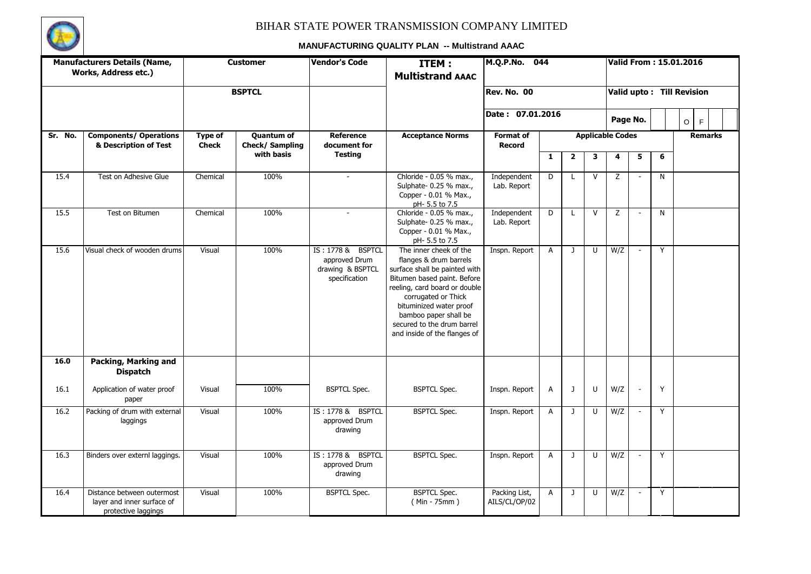

|         | <b>Manufacturers Details (Name,</b><br>Works, Address etc.)                     |                         | <b>Customer</b>                     | <b>Vendor's Code</b>                                                    | <b>ITEM:</b><br><b>Multistrand AAAC</b>                                                                                                                                                                                                                                                    | M.Q.P.No.                         | 044            |              |              |                         |                          |                | Valid From: 15.01.2016    |
|---------|---------------------------------------------------------------------------------|-------------------------|-------------------------------------|-------------------------------------------------------------------------|--------------------------------------------------------------------------------------------------------------------------------------------------------------------------------------------------------------------------------------------------------------------------------------------|-----------------------------------|----------------|--------------|--------------|-------------------------|--------------------------|----------------|---------------------------|
|         |                                                                                 |                         | <b>BSPTCL</b>                       |                                                                         |                                                                                                                                                                                                                                                                                            | Rev. No. 00                       |                |              |              |                         |                          |                | Valid upto: Till Revision |
|         |                                                                                 |                         |                                     |                                                                         |                                                                                                                                                                                                                                                                                            | Date: 07.01.2016                  |                |              |              | Page No.                |                          |                | $\mathsf F$<br>$\circ$    |
| Sr. No. | <b>Components/ Operations</b><br>& Description of Test                          | Type of<br><b>Check</b> | <b>Quantum of</b><br>Check/Sampling | <b>Reference</b><br>document for                                        | <b>Acceptance Norms</b>                                                                                                                                                                                                                                                                    | <b>Format of</b><br><b>Record</b> |                |              |              | <b>Applicable Codes</b> |                          |                | <b>Remarks</b>            |
|         |                                                                                 |                         | with basis                          | <b>Testing</b>                                                          |                                                                                                                                                                                                                                                                                            |                                   | $\mathbf{1}$   | $\mathbf{2}$ | 3            | 4                       | 5                        | 6              |                           |
| 15.4    | Test on Adhesive Glue                                                           | Chemical                | 100%                                | $\sim$                                                                  | Chloride - 0.05 % max.,<br>Sulphate- 0.25 % max.,<br>Copper - 0.01 % Max.,<br>pH- 5.5 to 7.5                                                                                                                                                                                               | Independent<br>Lab. Report        | $\overline{D}$ | L            | $\mathsf{V}$ | Z                       | $\sim$                   | $\overline{N}$ |                           |
| 15.5    | Test on Bitumen                                                                 | Chemical                | 100%                                | $\overline{a}$                                                          | Chloride - 0.05 % max.,<br>Sulphate- 0.25 % max.,<br>Copper - 0.01 % Max.,<br>pH-5.5 to 7.5                                                                                                                                                                                                | Independent<br>Lab. Report        | D              | L            | $\vee$       | Z                       | $\overline{\phantom{a}}$ | $\mathsf{N}$   |                           |
| 15.6    | Visual check of wooden drums                                                    | Visual                  | 100%                                | IS: 1778 & BSPTCL<br>approved Drum<br>drawing & BSPTCL<br>specification | The inner cheek of the<br>flanges & drum barrels<br>surface shall be painted with<br>Bitumen based paint. Before<br>reeling, card board or double<br>corrugated or Thick<br>bituminized water proof<br>bamboo paper shall be<br>secured to the drum barrel<br>and inside of the flanges of | Inspn. Report                     | A              | $\mathbf{J}$ | $\cup$       | W/Z                     | $\omega$                 | Y              |                           |
| 16.0    | Packing, Marking and<br><b>Dispatch</b>                                         |                         |                                     |                                                                         |                                                                                                                                                                                                                                                                                            |                                   |                |              |              |                         |                          |                |                           |
| 16.1    | Application of water proof<br>paper                                             | Visual                  | 100%                                | <b>BSPTCL Spec.</b>                                                     | <b>BSPTCL Spec.</b>                                                                                                                                                                                                                                                                        | Inspn. Report                     | Α              | J            | U            | W/Z                     | $\overline{\phantom{a}}$ | Y              |                           |
| 16.2    | Packing of drum with external<br>laggings                                       | Visual                  | 100%                                | IS: 1778 & BSPTCL<br>approved Drum<br>drawing                           | <b>BSPTCL Spec.</b>                                                                                                                                                                                                                                                                        | Inspn. Report                     | Α              | $\mathbf{J}$ | U            | W/Z                     | $\overline{\phantom{a}}$ | Y              |                           |
| 16.3    | Binders over externl laggings.                                                  | Visual                  | 100%                                | IS: 1778 & BSPTCL<br>approved Drum<br>drawing                           | <b>BSPTCL Spec.</b>                                                                                                                                                                                                                                                                        | Inspn. Report                     | A              | $\mathbf{J}$ | $\cup$       | W/Z                     | $\sim$                   | Y              |                           |
| 16.4    | Distance between outermost<br>layer and inner surface of<br>protective laggings | Visual                  | 100%                                | <b>BSPTCL Spec.</b>                                                     | <b>BSPTCL Spec.</b><br>$(Min - 75mm)$                                                                                                                                                                                                                                                      | Packing List,<br>AILS/CL/OP/02    | A              | $\mathbf{J}$ | $\cup$       | W/Z                     | $\overline{\phantom{a}}$ | Y              |                           |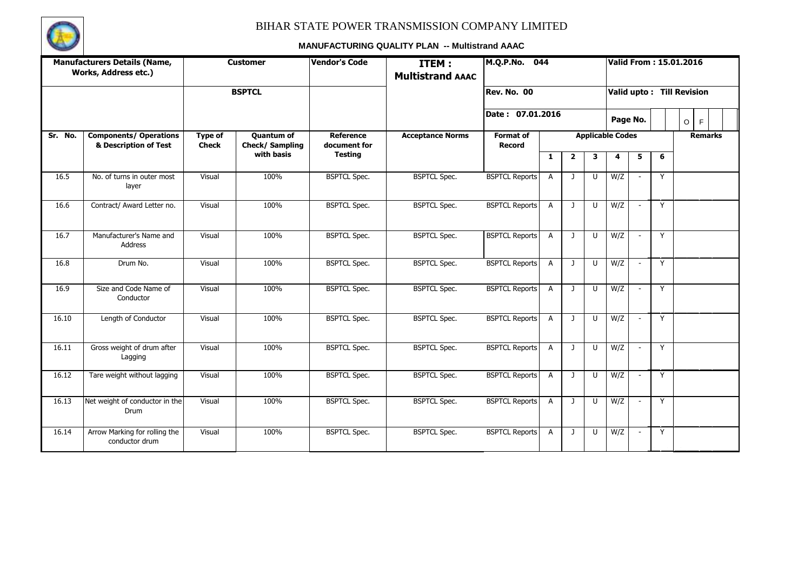

|         | <b>Manufacturers Details (Name,</b><br>Works, Address etc.) |                                | <b>Customer</b>                     | <b>Vendor's Code</b>      | ITEM:<br><b>Multistrand AAAC</b> | M.Q.P.No.<br>044                  |                |                |        |                         |                          |                  | <b>Valid From: 15.01.2016</b> |
|---------|-------------------------------------------------------------|--------------------------------|-------------------------------------|---------------------------|----------------------------------|-----------------------------------|----------------|----------------|--------|-------------------------|--------------------------|------------------|-------------------------------|
|         |                                                             |                                | <b>BSPTCL</b>                       |                           |                                  | Rev. No. 00                       |                |                |        |                         |                          | 6<br>Y<br>Y<br>Y | Valid upto: Till Revision     |
|         |                                                             |                                |                                     |                           |                                  | Date: 07.01.2016                  |                |                |        |                         | Page No.                 |                  | $\circ$<br>F                  |
| Sr. No. | <b>Components/ Operations</b><br>& Description of Test      | <b>Type of</b><br><b>Check</b> | <b>Quantum of</b><br>Check/Sampling | Reference<br>document for | <b>Acceptance Norms</b>          | <b>Format of</b><br><b>Record</b> |                |                |        | <b>Applicable Codes</b> |                          |                  | <b>Remarks</b>                |
|         |                                                             |                                | with basis                          | <b>Testing</b>            |                                  |                                   | 1              | $\overline{2}$ | 3      | 4                       | 5                        |                  |                               |
| 16.5    | No. of turns in outer most<br>layer                         | Visual                         | 100%                                | <b>BSPTCL Spec.</b>       | <b>BSPTCL Spec.</b>              | <b>BSPTCL Reports</b>             | $\overline{A}$ | $\mathbf{J}$   | $\cup$ | W/Z                     |                          |                  |                               |
| 16.6    | Contract/ Award Letter no.                                  | Visual                         | 100%                                | <b>BSPTCL Spec.</b>       | <b>BSPTCL Spec.</b>              | <b>BSPTCL Reports</b>             | $\overline{A}$ | $\mathbf{J}$   | U      | W/Z                     |                          |                  |                               |
| 16.7    | Manufacturer's Name and<br>Address                          | Visual                         | 100%                                | <b>BSPTCL Spec.</b>       | <b>BSPTCL Spec.</b>              | <b>BSPTCL Reports</b>             | $\overline{A}$ | $\mathbf{J}$   | $\cup$ | W/Z                     | $\sim$                   |                  |                               |
| 16.8    | Drum No.                                                    | Visual                         | 100%                                | <b>BSPTCL Spec.</b>       | <b>BSPTCL Spec.</b>              | <b>BSPTCL Reports</b>             | $\overline{A}$ | $\mathbf{J}$   | $\cup$ | W/Z                     | $\sim$                   | Y                |                               |
| 16.9    | Size and Code Name of<br>Conductor                          | Visual                         | 100%                                | <b>BSPTCL Spec.</b>       | <b>BSPTCL Spec.</b>              | <b>BSPTCL Reports</b>             | $\overline{A}$ | $\mathbf{J}$   | $\cup$ | W/Z                     | $\sim$                   | Y                |                               |
| 16.10   | Length of Conductor                                         | Visual                         | 100%                                | <b>BSPTCL Spec.</b>       | <b>BSPTCL Spec.</b>              | <b>BSPTCL Reports</b>             | $\overline{A}$ | $\mathbf{J}$   | $\cup$ | W/Z                     | $\overline{\phantom{a}}$ | Y                |                               |
| 16.11   | Gross weight of drum after<br>Lagging                       | Visual                         | 100%                                | <b>BSPTCL Spec.</b>       | <b>BSPTCL Spec.</b>              | <b>BSPTCL Reports</b>             | $\overline{A}$ | $\mathbf{J}$   | $\cup$ | W/Z                     | $\sim$                   | Y                |                               |
| 16.12   | Tare weight without lagging                                 | Visual                         | 100%                                | <b>BSPTCL Spec.</b>       | <b>BSPTCL Spec.</b>              | <b>BSPTCL Reports</b>             | $\overline{A}$ | $\mathbf{J}$   | U      | W/Z                     | $\sim$                   | Y                |                               |
| 16.13   | Net weight of conductor in the<br><b>Drum</b>               | Visual                         | 100%                                | <b>BSPTCL Spec.</b>       | <b>BSPTCL Spec.</b>              | <b>BSPTCL Reports</b>             | $\overline{A}$ | $\mathbf{J}$   | $\cup$ | W/Z                     | $\sim$                   | Y                |                               |
| 16.14   | Arrow Marking for rolling the<br>conductor drum             | Visual                         | 100%                                | <b>BSPTCL Spec.</b>       | <b>BSPTCL Spec.</b>              | <b>BSPTCL Reports</b>             | $\overline{A}$ | J              | U      | W/Z                     | $\blacksquare$           | Y                |                               |